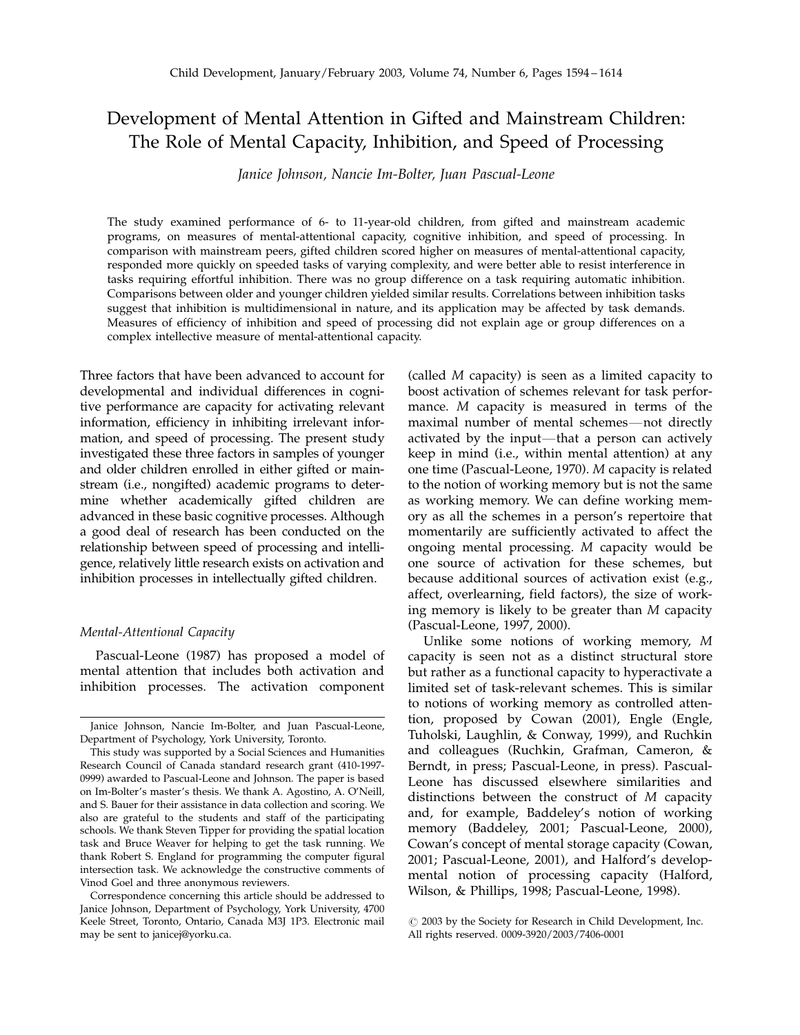## Development of Mental Attention in Gifted and Mainstream Children: The Role of Mental Capacity, Inhibition, and Speed of Processing

Janice Johnson, Nancie Im-Bolter, Juan Pascual-Leone

The study examined performance of 6- to 11-year-old children, from gifted and mainstream academic programs, on measures of mental-attentional capacity, cognitive inhibition, and speed of processing. In comparison with mainstream peers, gifted children scored higher on measures of mental-attentional capacity, responded more quickly on speeded tasks of varying complexity, and were better able to resist interference in tasks requiring effortful inhibition. There was no group difference on a task requiring automatic inhibition. Comparisons between older and younger children yielded similar results. Correlations between inhibition tasks suggest that inhibition is multidimensional in nature, and its application may be affected by task demands. Measures of efficiency of inhibition and speed of processing did not explain age or group differences on a complex intellective measure of mental-attentional capacity.

Three factors that have been advanced to account for developmental and individual differences in cognitive performance are capacity for activating relevant information, efficiency in inhibiting irrelevant information, and speed of processing. The present study investigated these three factors in samples of younger and older children enrolled in either gifted or mainstream (i.e., nongifted) academic programs to determine whether academically gifted children are advanced in these basic cognitive processes. Although a good deal of research has been conducted on the relationship between speed of processing and intelligence, relatively little research exists on activation and inhibition processes in intellectually gifted children.

## Mental-Attentional Capacity

Pascual-Leone (1987) has proposed a model of mental attention that includes both activation and inhibition processes. The activation component (called M capacity) is seen as a limited capacity to boost activation of schemes relevant for task performance. M capacity is measured in terms of the maximal number of mental schemes—not directly activated by the input-that a person can actively keep in mind (i.e., within mental attention) at any one time (Pascual-Leone, 1970). M capacity is related to the notion of working memory but is not the same as working memory. We can define working memory as all the schemes in a person's repertoire that momentarily are sufficiently activated to affect the ongoing mental processing. M capacity would be one source of activation for these schemes, but because additional sources of activation exist (e.g., affect, overlearning, field factors), the size of working memory is likely to be greater than M capacity (Pascual-Leone, 1997, 2000).

Unlike some notions of working memory, M capacity is seen not as a distinct structural store but rather as a functional capacity to hyperactivate a limited set of task-relevant schemes. This is similar to notions of working memory as controlled attention, proposed by Cowan (2001), Engle (Engle, Tuholski, Laughlin, & Conway, 1999), and Ruchkin and colleagues (Ruchkin, Grafman, Cameron, & Berndt, in press; Pascual-Leone, in press). Pascual-Leone has discussed elsewhere similarities and distinctions between the construct of M capacity and, for example, Baddeley's notion of working memory (Baddeley, 2001; Pascual-Leone, 2000), Cowan's concept of mental storage capacity (Cowan, 2001; Pascual-Leone, 2001), and Halford's developmental notion of processing capacity (Halford, Wilson, & Phillips, 1998; Pascual-Leone, 1998).

Janice Johnson, Nancie Im-Bolter, and Juan Pascual-Leone, Department of Psychology, York University, Toronto.

This study was supported by a Social Sciences and Humanities Research Council of Canada standard research grant (410-1997- 0999) awarded to Pascual-Leone and Johnson. The paper is based on Im-Bolter's master's thesis. We thank A. Agostino, A. O'Neill, and S. Bauer for their assistance in data collection and scoring. We also are grateful to the students and staff of the participating schools. We thank Steven Tipper for providing the spatial location task and Bruce Weaver for helping to get the task running. We thank Robert S. England for programming the computer figural intersection task. We acknowledge the constructive comments of Vinod Goel and three anonymous reviewers.

Correspondence concerning this article should be addressed to Janice Johnson, Department of Psychology, York University, 4700 Keele Street, Toronto, Ontario, Canada M3J 1P3. Electronic mail may be sent to janicej@yorku.ca.

 $O$  2003 by the Society for Research in Child Development, Inc. All rights reserved. 0009-3920/2003/7406-0001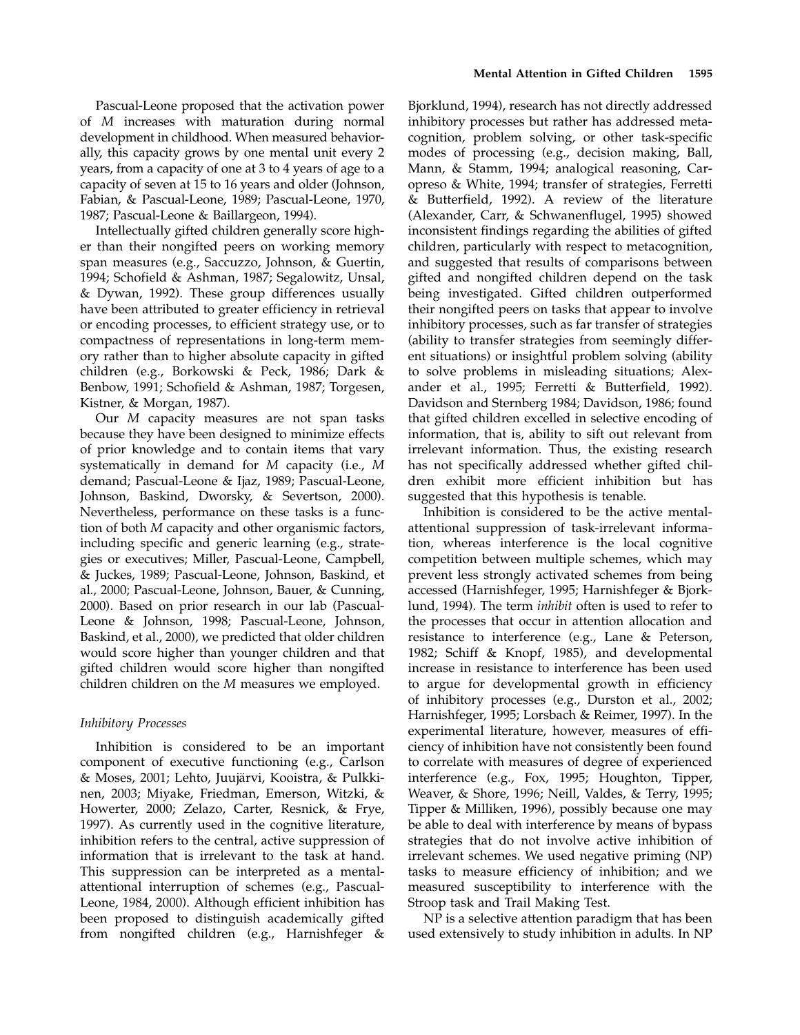Pascual-Leone proposed that the activation power of M increases with maturation during normal development in childhood. When measured behaviorally, this capacity grows by one mental unit every 2 years, from a capacity of one at 3 to 4 years of age to a capacity of seven at 15 to 16 years and older (Johnson, Fabian, & Pascual-Leone, 1989; Pascual-Leone, 1970, 1987; Pascual-Leone & Baillargeon, 1994).

Intellectually gifted children generally score higher than their nongifted peers on working memory span measures (e.g., Saccuzzo, Johnson, & Guertin, 1994; Schofield & Ashman, 1987; Segalowitz, Unsal, & Dywan, 1992). These group differences usually have been attributed to greater efficiency in retrieval or encoding processes, to efficient strategy use, or to compactness of representations in long-term memory rather than to higher absolute capacity in gifted children (e.g., Borkowski & Peck, 1986; Dark & Benbow, 1991; Schofield & Ashman, 1987; Torgesen, Kistner, & Morgan, 1987).

Our M capacity measures are not span tasks because they have been designed to minimize effects of prior knowledge and to contain items that vary systematically in demand for M capacity (i.e., M demand; Pascual-Leone & Ijaz, 1989; Pascual-Leone, Johnson, Baskind, Dworsky, & Severtson, 2000). Nevertheless, performance on these tasks is a function of both M capacity and other organismic factors, including specific and generic learning (e.g., strategies or executives; Miller, Pascual-Leone, Campbell, & Juckes, 1989; Pascual-Leone, Johnson, Baskind, et al., 2000; Pascual-Leone, Johnson, Bauer, & Cunning, 2000). Based on prior research in our lab (Pascual-Leone & Johnson, 1998; Pascual-Leone, Johnson, Baskind, et al., 2000), we predicted that older children would score higher than younger children and that gifted children would score higher than nongifted children children on the M measures we employed.

### Inhibitory Processes

Inhibition is considered to be an important component of executive functioning (e.g., Carlson & Moses, 2001; Lehto, Juujärvi, Kooistra, & Pulkkinen, 2003; Miyake, Friedman, Emerson, Witzki, & Howerter, 2000; Zelazo, Carter, Resnick, & Frye, 1997). As currently used in the cognitive literature, inhibition refers to the central, active suppression of information that is irrelevant to the task at hand. This suppression can be interpreted as a mentalattentional interruption of schemes (e.g., Pascual-Leone, 1984, 2000). Although efficient inhibition has been proposed to distinguish academically gifted from nongifted children (e.g., Harnishfeger &

Bjorklund, 1994), research has not directly addressed inhibitory processes but rather has addressed metacognition, problem solving, or other task-specific modes of processing (e.g., decision making, Ball, Mann, & Stamm, 1994; analogical reasoning, Caropreso & White, 1994; transfer of strategies, Ferretti & Butterfield, 1992). A review of the literature (Alexander, Carr, & Schwanenflugel, 1995) showed inconsistent findings regarding the abilities of gifted children, particularly with respect to metacognition, and suggested that results of comparisons between gifted and nongifted children depend on the task being investigated. Gifted children outperformed their nongifted peers on tasks that appear to involve inhibitory processes, such as far transfer of strategies (ability to transfer strategies from seemingly different situations) or insightful problem solving (ability to solve problems in misleading situations; Alexander et al., 1995; Ferretti & Butterfield, 1992). Davidson and Sternberg 1984; Davidson, 1986; found that gifted children excelled in selective encoding of information, that is, ability to sift out relevant from irrelevant information. Thus, the existing research has not specifically addressed whether gifted children exhibit more efficient inhibition but has suggested that this hypothesis is tenable.

Inhibition is considered to be the active mentalattentional suppression of task-irrelevant information, whereas interference is the local cognitive competition between multiple schemes, which may prevent less strongly activated schemes from being accessed (Harnishfeger, 1995; Harnishfeger & Bjorklund, 1994). The term inhibit often is used to refer to the processes that occur in attention allocation and resistance to interference (e.g., Lane & Peterson, 1982; Schiff & Knopf, 1985), and developmental increase in resistance to interference has been used to argue for developmental growth in efficiency of inhibitory processes (e.g., Durston et al., 2002; Harnishfeger, 1995; Lorsbach & Reimer, 1997). In the experimental literature, however, measures of efficiency of inhibition have not consistently been found to correlate with measures of degree of experienced interference (e.g., Fox, 1995; Houghton, Tipper, Weaver, & Shore, 1996; Neill, Valdes, & Terry, 1995; Tipper & Milliken, 1996), possibly because one may be able to deal with interference by means of bypass strategies that do not involve active inhibition of irrelevant schemes. We used negative priming (NP) tasks to measure efficiency of inhibition; and we measured susceptibility to interference with the Stroop task and Trail Making Test.

NP is a selective attention paradigm that has been used extensively to study inhibition in adults. In NP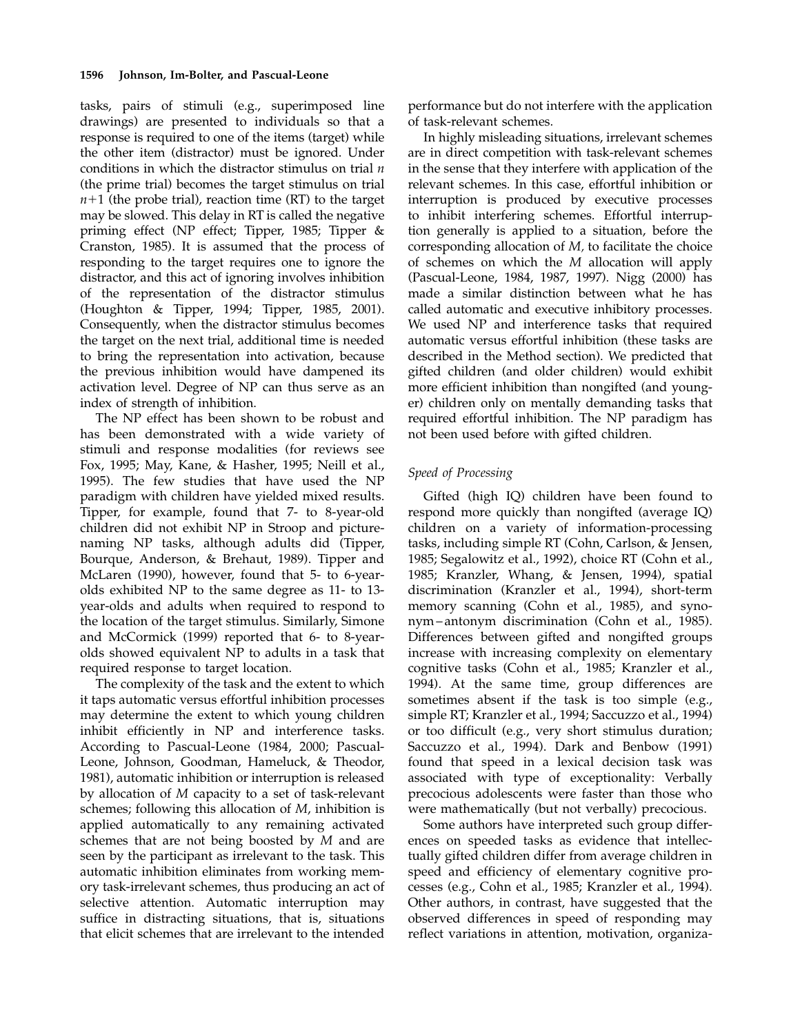tasks, pairs of stimuli (e.g., superimposed line drawings) are presented to individuals so that a response is required to one of the items (target) while the other item (distractor) must be ignored. Under conditions in which the distractor stimulus on trial  $n$ (the prime trial) becomes the target stimulus on trial  $n+1$  (the probe trial), reaction time (RT) to the target may be slowed. This delay in RT is called the negative priming effect (NP effect; Tipper, 1985; Tipper & Cranston, 1985). It is assumed that the process of responding to the target requires one to ignore the distractor, and this act of ignoring involves inhibition of the representation of the distractor stimulus (Houghton & Tipper, 1994; Tipper, 1985, 2001). Consequently, when the distractor stimulus becomes the target on the next trial, additional time is needed to bring the representation into activation, because the previous inhibition would have dampened its activation level. Degree of NP can thus serve as an index of strength of inhibition.

The NP effect has been shown to be robust and has been demonstrated with a wide variety of stimuli and response modalities (for reviews see Fox, 1995; May, Kane, & Hasher, 1995; Neill et al., 1995). The few studies that have used the NP paradigm with children have yielded mixed results. Tipper, for example, found that 7- to 8-year-old children did not exhibit NP in Stroop and picturenaming NP tasks, although adults did (Tipper, Bourque, Anderson, & Brehaut, 1989). Tipper and McLaren (1990), however, found that 5- to 6-yearolds exhibited NP to the same degree as 11- to 13 year-olds and adults when required to respond to the location of the target stimulus. Similarly, Simone and McCormick (1999) reported that 6- to 8-yearolds showed equivalent NP to adults in a task that required response to target location.

The complexity of the task and the extent to which it taps automatic versus effortful inhibition processes may determine the extent to which young children inhibit efficiently in NP and interference tasks. According to Pascual-Leone (1984, 2000; Pascual-Leone, Johnson, Goodman, Hameluck, & Theodor, 1981), automatic inhibition or interruption is released by allocation of M capacity to a set of task-relevant schemes; following this allocation of M, inhibition is applied automatically to any remaining activated schemes that are not being boosted by M and are seen by the participant as irrelevant to the task. This automatic inhibition eliminates from working memory task-irrelevant schemes, thus producing an act of selective attention. Automatic interruption may suffice in distracting situations, that is, situations that elicit schemes that are irrelevant to the intended

performance but do not interfere with the application of task-relevant schemes.

In highly misleading situations, irrelevant schemes are in direct competition with task-relevant schemes in the sense that they interfere with application of the relevant schemes. In this case, effortful inhibition or interruption is produced by executive processes to inhibit interfering schemes. Effortful interruption generally is applied to a situation, before the corresponding allocation of M, to facilitate the choice of schemes on which the M allocation will apply (Pascual-Leone, 1984, 1987, 1997). Nigg (2000) has made a similar distinction between what he has called automatic and executive inhibitory processes. We used NP and interference tasks that required automatic versus effortful inhibition (these tasks are described in the Method section). We predicted that gifted children (and older children) would exhibit more efficient inhibition than nongifted (and younger) children only on mentally demanding tasks that required effortful inhibition. The NP paradigm has not been used before with gifted children.

## Speed of Processing

Gifted (high IQ) children have been found to respond more quickly than nongifted (average IQ) children on a variety of information-processing tasks, including simple RT (Cohn, Carlson, & Jensen, 1985; Segalowitz et al., 1992), choice RT (Cohn et al., 1985; Kranzler, Whang, & Jensen, 1994), spatial discrimination (Kranzler et al., 1994), short-term memory scanning (Cohn et al., 1985), and synonym – antonym discrimination (Cohn et al., 1985). Differences between gifted and nongifted groups increase with increasing complexity on elementary cognitive tasks (Cohn et al., 1985; Kranzler et al., 1994). At the same time, group differences are sometimes absent if the task is too simple (e.g., simple RT; Kranzler et al., 1994; Saccuzzo et al., 1994) or too difficult (e.g., very short stimulus duration; Saccuzzo et al., 1994). Dark and Benbow (1991) found that speed in a lexical decision task was associated with type of exceptionality: Verbally precocious adolescents were faster than those who were mathematically (but not verbally) precocious.

Some authors have interpreted such group differences on speeded tasks as evidence that intellectually gifted children differ from average children in speed and efficiency of elementary cognitive processes (e.g., Cohn et al., 1985; Kranzler et al., 1994). Other authors, in contrast, have suggested that the observed differences in speed of responding may reflect variations in attention, motivation, organiza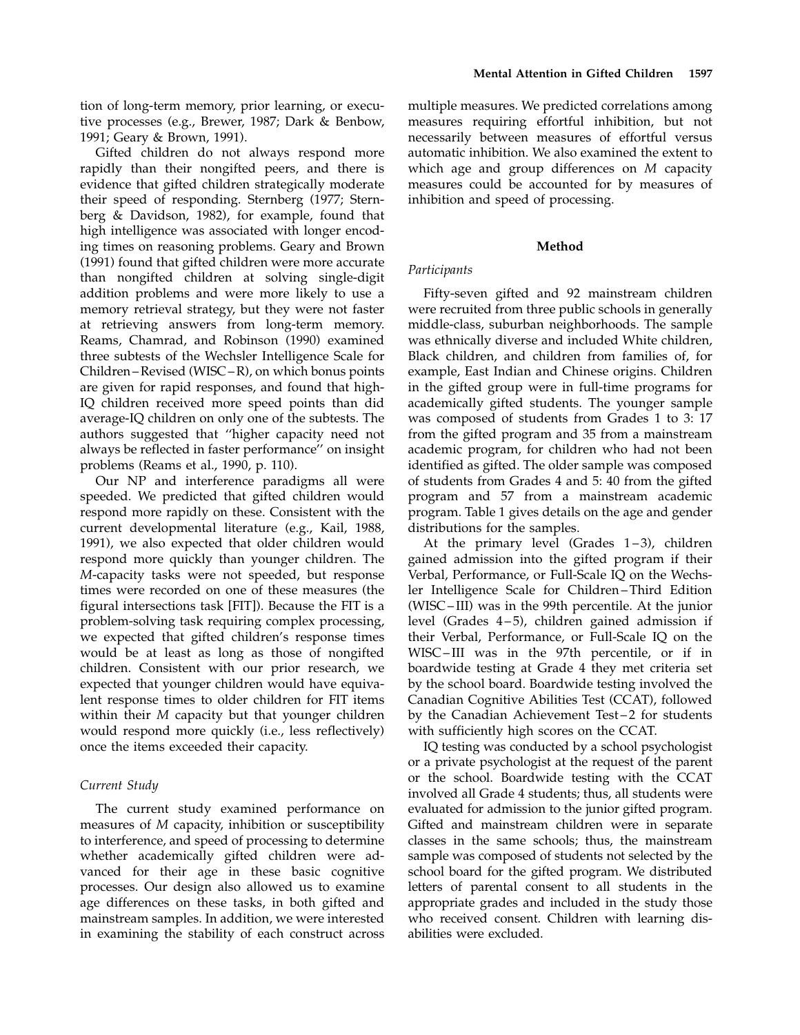tion of long-term memory, prior learning, or executive processes (e.g., Brewer, 1987; Dark & Benbow, 1991; Geary & Brown, 1991).

Gifted children do not always respond more rapidly than their nongifted peers, and there is evidence that gifted children strategically moderate their speed of responding. Sternberg (1977; Sternberg & Davidson, 1982), for example, found that high intelligence was associated with longer encoding times on reasoning problems. Geary and Brown (1991) found that gifted children were more accurate than nongifted children at solving single-digit addition problems and were more likely to use a memory retrieval strategy, but they were not faster at retrieving answers from long-term memory. Reams, Chamrad, and Robinson (1990) examined three subtests of the Wechsler Intelligence Scale for Children –Revised (WISC –R), on which bonus points are given for rapid responses, and found that high-IQ children received more speed points than did average-IQ children on only one of the subtests. The authors suggested that ''higher capacity need not always be reflected in faster performance'' on insight problems (Reams et al., 1990, p. 110).

Our NP and interference paradigms all were speeded. We predicted that gifted children would respond more rapidly on these. Consistent with the current developmental literature (e.g., Kail, 1988, 1991), we also expected that older children would respond more quickly than younger children. The M-capacity tasks were not speeded, but response times were recorded on one of these measures (the figural intersections task [FIT]). Because the FIT is a problem-solving task requiring complex processing, we expected that gifted children's response times would be at least as long as those of nongifted children. Consistent with our prior research, we expected that younger children would have equivalent response times to older children for FIT items within their M capacity but that younger children would respond more quickly (i.e., less reflectively) once the items exceeded their capacity.

#### Current Study

The current study examined performance on measures of M capacity, inhibition or susceptibility to interference, and speed of processing to determine whether academically gifted children were advanced for their age in these basic cognitive processes. Our design also allowed us to examine age differences on these tasks, in both gifted and mainstream samples. In addition, we were interested in examining the stability of each construct across

multiple measures. We predicted correlations among measures requiring effortful inhibition, but not necessarily between measures of effortful versus automatic inhibition. We also examined the extent to which age and group differences on M capacity measures could be accounted for by measures of inhibition and speed of processing.

#### Method

## Participants

Fifty-seven gifted and 92 mainstream children were recruited from three public schools in generally middle-class, suburban neighborhoods. The sample was ethnically diverse and included White children, Black children, and children from families of, for example, East Indian and Chinese origins. Children in the gifted group were in full-time programs for academically gifted students. The younger sample was composed of students from Grades 1 to 3: 17 from the gifted program and 35 from a mainstream academic program, for children who had not been identified as gifted. The older sample was composed of students from Grades 4 and 5: 40 from the gifted program and 57 from a mainstream academic program. Table 1 gives details on the age and gender distributions for the samples.

At the primary level (Grades  $1-3$ ), children gained admission into the gifted program if their Verbal, Performance, or Full-Scale IQ on the Wechsler Intelligence Scale for Children – Third Edition (WISC – III) was in the 99th percentile. At the junior level (Grades  $4-5$ ), children gained admission if their Verbal, Performance, or Full-Scale IQ on the WISC – III was in the 97th percentile, or if in boardwide testing at Grade 4 they met criteria set by the school board. Boardwide testing involved the Canadian Cognitive Abilities Test (CCAT), followed by the Canadian Achievement Test-2 for students with sufficiently high scores on the CCAT.

IQ testing was conducted by a school psychologist or a private psychologist at the request of the parent or the school. Boardwide testing with the CCAT involved all Grade 4 students; thus, all students were evaluated for admission to the junior gifted program. Gifted and mainstream children were in separate classes in the same schools; thus, the mainstream sample was composed of students not selected by the school board for the gifted program. We distributed letters of parental consent to all students in the appropriate grades and included in the study those who received consent. Children with learning disabilities were excluded.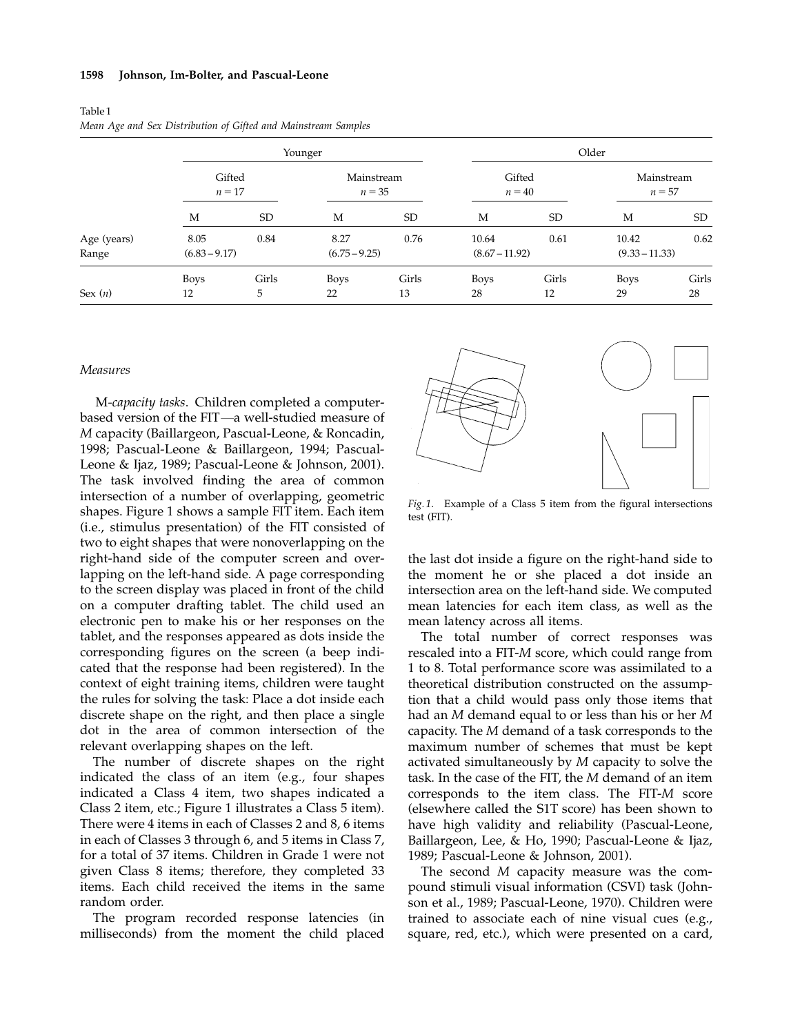|                      | Younger                 |            |                         |             | Older                     |             |                           |             |
|----------------------|-------------------------|------------|-------------------------|-------------|---------------------------|-------------|---------------------------|-------------|
|                      | Gifted<br>$n=17$        |            | Mainstream<br>$n = 35$  |             | Gifted<br>$n = 40$        |             | Mainstream<br>$n = 57$    |             |
|                      | M                       | <b>SD</b>  | M                       | <b>SD</b>   | M                         | <b>SD</b>   | M                         | SD          |
| Age (years)<br>Range | 8.05<br>$(6.83 - 9.17)$ | 0.84       | 8.27<br>$(6.75 - 9.25)$ | 0.76        | 10.64<br>$(8.67 - 11.92)$ | 0.61        | 10.42<br>$(9.33 - 11.33)$ | 0.62        |
| Sex $(n)$            | <b>Boys</b><br>12       | Girls<br>5 | <b>Boys</b><br>22       | Girls<br>13 | <b>Boys</b><br>28         | Girls<br>12 | <b>Boys</b><br>29         | Girls<br>28 |

Table 1 Mean Age and Sex Distribution of Gifted and Mainstream Samples

#### Measures

M-capacity tasks. Children completed a computerbased version of the FIT $-a$  well-studied measure of M capacity (Baillargeon, Pascual-Leone, & Roncadin, 1998; Pascual-Leone & Baillargeon, 1994; Pascual-Leone & Ijaz, 1989; Pascual-Leone & Johnson, 2001). The task involved finding the area of common intersection of a number of overlapping, geometric shapes. Figure 1 shows a sample FIT item. Each item (i.e., stimulus presentation) of the FIT consisted of two to eight shapes that were nonoverlapping on the right-hand side of the computer screen and overlapping on the left-hand side. A page corresponding to the screen display was placed in front of the child on a computer drafting tablet. The child used an electronic pen to make his or her responses on the tablet, and the responses appeared as dots inside the corresponding figures on the screen (a beep indicated that the response had been registered). In the context of eight training items, children were taught the rules for solving the task: Place a dot inside each discrete shape on the right, and then place a single dot in the area of common intersection of the relevant overlapping shapes on the left.

The number of discrete shapes on the right indicated the class of an item (e.g., four shapes indicated a Class 4 item, two shapes indicated a Class 2 item, etc.; Figure 1 illustrates a Class 5 item). There were 4 items in each of Classes 2 and 8, 6 items in each of Classes 3 through 6, and 5 items in Class 7, for a total of 37 items. Children in Grade 1 were not given Class 8 items; therefore, they completed 33 items. Each child received the items in the same random order.

The program recorded response latencies (in milliseconds) from the moment the child placed



Fig. 1. Example of a Class 5 item from the figural intersections test (FIT).

the last dot inside a figure on the right-hand side to the moment he or she placed a dot inside an intersection area on the left-hand side. We computed mean latencies for each item class, as well as the mean latency across all items.

The total number of correct responses was rescaled into a FIT-M score, which could range from 1 to 8. Total performance score was assimilated to a theoretical distribution constructed on the assumption that a child would pass only those items that had an M demand equal to or less than his or her M capacity. The M demand of a task corresponds to the maximum number of schemes that must be kept activated simultaneously by M capacity to solve the task. In the case of the FIT, the M demand of an item corresponds to the item class. The FIT-M score (elsewhere called the S1T score) has been shown to have high validity and reliability (Pascual-Leone, Baillargeon, Lee, & Ho, 1990; Pascual-Leone & Ijaz, 1989; Pascual-Leone & Johnson, 2001).

The second M capacity measure was the compound stimuli visual information (CSVI) task (Johnson et al., 1989; Pascual-Leone, 1970). Children were trained to associate each of nine visual cues (e.g., square, red, etc.), which were presented on a card,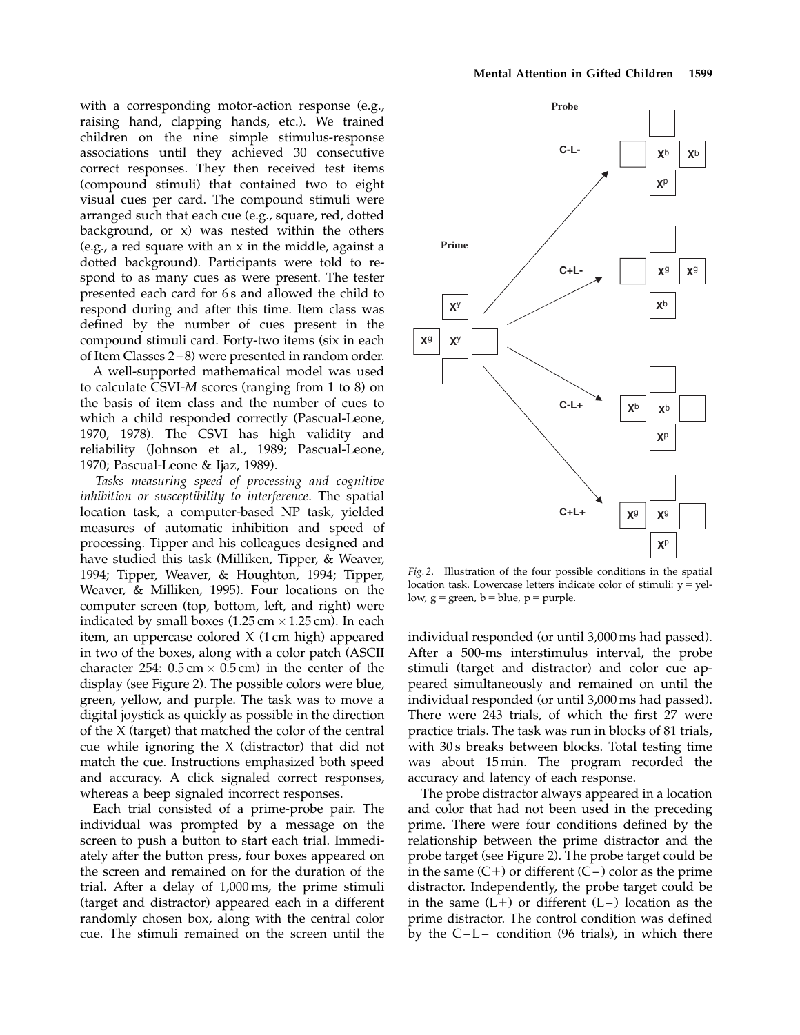with a corresponding motor-action response (e.g., raising hand, clapping hands, etc.). We trained children on the nine simple stimulus-response associations until they achieved 30 consecutive correct responses. They then received test items (compound stimuli) that contained two to eight visual cues per card. The compound stimuli were arranged such that each cue (e.g., square, red, dotted background, or x) was nested within the others (e.g., a red square with an x in the middle, against a dotted background). Participants were told to respond to as many cues as were present. The tester presented each card for 6s and allowed the child to respond during and after this time. Item class was defined by the number of cues present in the compound stimuli card. Forty-two items (six in each of Item Classes 2 – 8) were presented in random order.

A well-supported mathematical model was used to calculate CSVI-M scores (ranging from 1 to 8) on the basis of item class and the number of cues to which a child responded correctly (Pascual-Leone, 1970, 1978). The CSVI has high validity and reliability (Johnson et al., 1989; Pascual-Leone, 1970; Pascual-Leone & Ijaz, 1989).

Tasks measuring speed of processing and cognitive inhibition or susceptibility to interference. The spatial location task, a computer-based NP task, yielded measures of automatic inhibition and speed of processing. Tipper and his colleagues designed and have studied this task (Milliken, Tipper, & Weaver, 1994; Tipper, Weaver, & Houghton, 1994; Tipper, Weaver, & Milliken, 1995). Four locations on the computer screen (top, bottom, left, and right) were indicated by small boxes  $(1.25 \text{ cm} \times 1.25 \text{ cm})$ . In each item, an uppercase colored X (1 cm high) appeared in two of the boxes, along with a color patch (ASCII character 254:  $0.5 \text{ cm} \times 0.5 \text{ cm}$  in the center of the display (see Figure 2). The possible colors were blue, green, yellow, and purple. The task was to move a digital joystick as quickly as possible in the direction of the X (target) that matched the color of the central cue while ignoring the X (distractor) that did not match the cue. Instructions emphasized both speed and accuracy. A click signaled correct responses, whereas a beep signaled incorrect responses.

Each trial consisted of a prime-probe pair. The individual was prompted by a message on the screen to push a button to start each trial. Immediately after the button press, four boxes appeared on the screen and remained on for the duration of the trial. After a delay of 1,000 ms, the prime stimuli (target and distractor) appeared each in a different randomly chosen box, along with the central color cue. The stimuli remained on the screen until the



Fig. 2. Illustration of the four possible conditions in the spatial location task. Lowercase letters indicate color of stimuli:  $y = ye$ . low,  $g =$  green,  $b =$  blue,  $p =$  purple.

individual responded (or until 3,000 ms had passed). After a 500-ms interstimulus interval, the probe stimuli (target and distractor) and color cue appeared simultaneously and remained on until the individual responded (or until 3,000 ms had passed). There were 243 trials, of which the first 27 were practice trials. The task was run in blocks of 81 trials, with 30 s breaks between blocks. Total testing time was about 15 min. The program recorded the accuracy and latency of each response.

The probe distractor always appeared in a location and color that had not been used in the preceding prime. There were four conditions defined by the relationship between the prime distractor and the probe target (see Figure 2). The probe target could be in the same  $(C+)$  or different  $(C-)$  color as the prime distractor. Independently, the probe target could be in the same  $(L+)$  or different  $(L-)$  location as the prime distractor. The control condition was defined by the  $C-L$  – condition (96 trials), in which there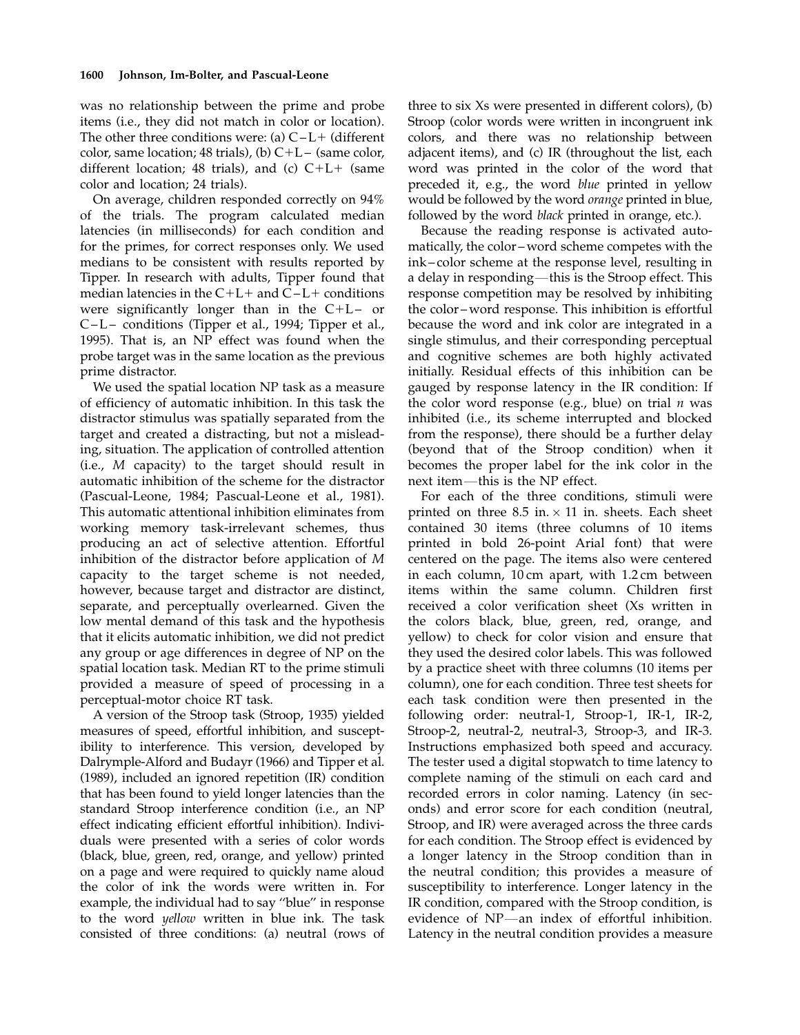was no relationship between the prime and probe items (i.e., they did not match in color or location). The other three conditions were: (a)  $C-L+$  (different color, same location; 48 trials), (b)  $C+L-$  (same color, different location; 48 trials), and (c)  $C+L+$  (same color and location; 24 trials).

On average, children responded correctly on 94% of the trials. The program calculated median latencies (in milliseconds) for each condition and for the primes, for correct responses only. We used medians to be consistent with results reported by Tipper. In research with adults, Tipper found that median latencies in the  $C+L+$  and  $C-L+$  conditions were significantly longer than in the  $C+L-$  or C-L- conditions (Tipper et al., 1994; Tipper et al., 1995). That is, an NP effect was found when the probe target was in the same location as the previous prime distractor.

We used the spatial location NP task as a measure of efficiency of automatic inhibition. In this task the distractor stimulus was spatially separated from the target and created a distracting, but not a misleading, situation. The application of controlled attention (i.e., M capacity) to the target should result in automatic inhibition of the scheme for the distractor (Pascual-Leone, 1984; Pascual-Leone et al., 1981). This automatic attentional inhibition eliminates from working memory task-irrelevant schemes, thus producing an act of selective attention. Effortful inhibition of the distractor before application of M capacity to the target scheme is not needed, however, because target and distractor are distinct, separate, and perceptually overlearned. Given the low mental demand of this task and the hypothesis that it elicits automatic inhibition, we did not predict any group or age differences in degree of NP on the spatial location task. Median RT to the prime stimuli provided a measure of speed of processing in a perceptual-motor choice RT task.

A version of the Stroop task (Stroop, 1935) yielded measures of speed, effortful inhibition, and susceptibility to interference. This version, developed by Dalrymple-Alford and Budayr (1966) and Tipper et al. (1989), included an ignored repetition (IR) condition that has been found to yield longer latencies than the standard Stroop interference condition (i.e., an NP effect indicating efficient effortful inhibition). Individuals were presented with a series of color words (black, blue, green, red, orange, and yellow) printed on a page and were required to quickly name aloud the color of ink the words were written in. For example, the individual had to say ''blue'' in response to the word yellow written in blue ink. The task consisted of three conditions: (a) neutral (rows of three to six Xs were presented in different colors), (b) Stroop (color words were written in incongruent ink colors, and there was no relationship between adjacent items), and (c) IR (throughout the list, each word was printed in the color of the word that preceded it, e.g., the word blue printed in yellow would be followed by the word orange printed in blue, followed by the word black printed in orange, etc.).

Because the reading response is activated automatically, the color – word scheme competes with the ink – color scheme at the response level, resulting in a delay in responding—this is the Stroop effect. This response competition may be resolved by inhibiting the color – word response. This inhibition is effortful because the word and ink color are integrated in a single stimulus, and their corresponding perceptual and cognitive schemes are both highly activated initially. Residual effects of this inhibition can be gauged by response latency in the IR condition: If the color word response (e.g., blue) on trial  $n$  was inhibited (i.e., its scheme interrupted and blocked from the response), there should be a further delay (beyond that of the Stroop condition) when it becomes the proper label for the ink color in the next item-this is the NP effect.

For each of the three conditions, stimuli were printed on three 8.5 in.  $\times$  11 in. sheets. Each sheet contained 30 items (three columns of 10 items printed in bold 26-point Arial font) that were centered on the page. The items also were centered in each column, 10 cm apart, with 1.2 cm between items within the same column. Children first received a color verification sheet (Xs written in the colors black, blue, green, red, orange, and yellow) to check for color vision and ensure that they used the desired color labels. This was followed by a practice sheet with three columns (10 items per column), one for each condition. Three test sheets for each task condition were then presented in the following order: neutral-1, Stroop-1, IR-1, IR-2, Stroop-2, neutral-2, neutral-3, Stroop-3, and IR-3. Instructions emphasized both speed and accuracy. The tester used a digital stopwatch to time latency to complete naming of the stimuli on each card and recorded errors in color naming. Latency (in seconds) and error score for each condition (neutral, Stroop, and IR) were averaged across the three cards for each condition. The Stroop effect is evidenced by a longer latency in the Stroop condition than in the neutral condition; this provides a measure of susceptibility to interference. Longer latency in the IR condition, compared with the Stroop condition, is evidence of NP-an index of effortful inhibition. Latency in the neutral condition provides a measure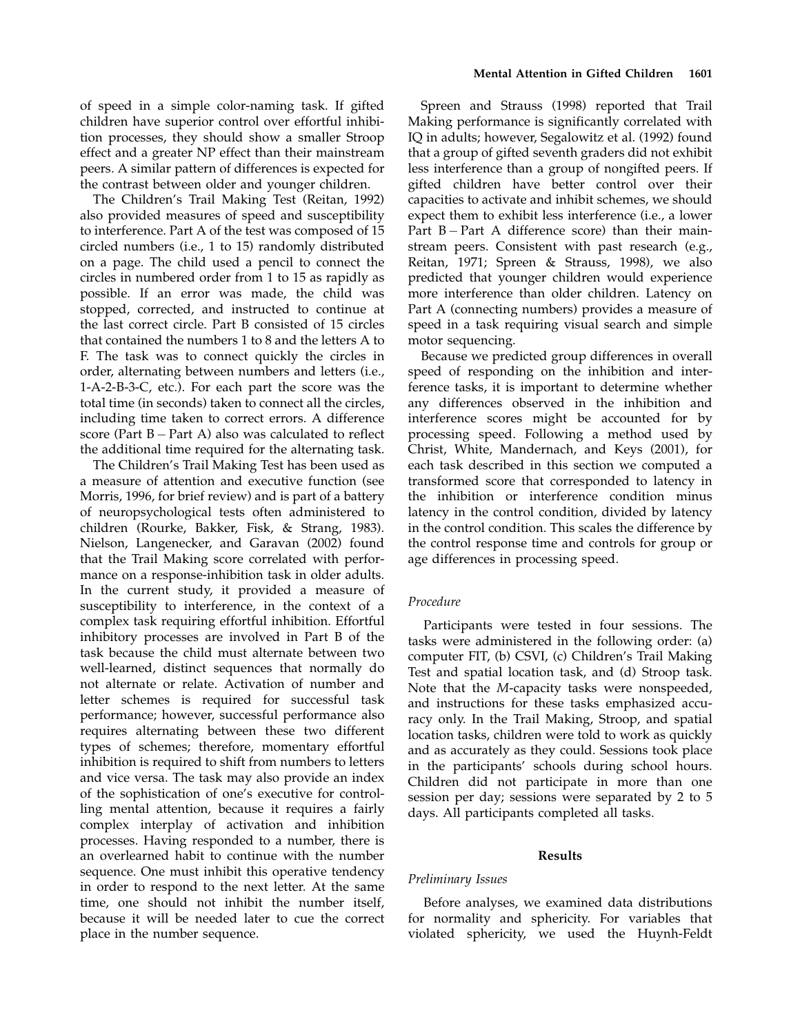of speed in a simple color-naming task. If gifted children have superior control over effortful inhibition processes, they should show a smaller Stroop effect and a greater NP effect than their mainstream peers. A similar pattern of differences is expected for the contrast between older and younger children.

The Children's Trail Making Test (Reitan, 1992) also provided measures of speed and susceptibility to interference. Part A of the test was composed of 15 circled numbers (i.e., 1 to 15) randomly distributed on a page. The child used a pencil to connect the circles in numbered order from 1 to 15 as rapidly as possible. If an error was made, the child was stopped, corrected, and instructed to continue at the last correct circle. Part B consisted of 15 circles that contained the numbers 1 to 8 and the letters A to F. The task was to connect quickly the circles in order, alternating between numbers and letters (i.e., 1-A-2-B-3-C, etc.). For each part the score was the total time (in seconds) taken to connect all the circles, including time taken to correct errors. A difference score (Part B - Part A) also was calculated to reflect the additional time required for the alternating task.

The Children's Trail Making Test has been used as a measure of attention and executive function (see Morris, 1996, for brief review) and is part of a battery of neuropsychological tests often administered to children (Rourke, Bakker, Fisk, & Strang, 1983). Nielson, Langenecker, and Garavan (2002) found that the Trail Making score correlated with performance on a response-inhibition task in older adults. In the current study, it provided a measure of susceptibility to interference, in the context of a complex task requiring effortful inhibition. Effortful inhibitory processes are involved in Part B of the task because the child must alternate between two well-learned, distinct sequences that normally do not alternate or relate. Activation of number and letter schemes is required for successful task performance; however, successful performance also requires alternating between these two different types of schemes; therefore, momentary effortful inhibition is required to shift from numbers to letters and vice versa. The task may also provide an index of the sophistication of one's executive for controlling mental attention, because it requires a fairly complex interplay of activation and inhibition processes. Having responded to a number, there is an overlearned habit to continue with the number sequence. One must inhibit this operative tendency in order to respond to the next letter. At the same time, one should not inhibit the number itself, because it will be needed later to cue the correct place in the number sequence.

Spreen and Strauss (1998) reported that Trail Making performance is significantly correlated with IQ in adults; however, Segalowitz et al. (1992) found that a group of gifted seventh graders did not exhibit less interference than a group of nongifted peers. If gifted children have better control over their capacities to activate and inhibit schemes, we should expect them to exhibit less interference (i.e., a lower Part B - Part A difference score) than their mainstream peers. Consistent with past research (e.g., Reitan, 1971; Spreen & Strauss, 1998), we also predicted that younger children would experience more interference than older children. Latency on Part A (connecting numbers) provides a measure of speed in a task requiring visual search and simple motor sequencing.

Because we predicted group differences in overall speed of responding on the inhibition and interference tasks, it is important to determine whether any differences observed in the inhibition and interference scores might be accounted for by processing speed. Following a method used by Christ, White, Mandernach, and Keys (2001), for each task described in this section we computed a transformed score that corresponded to latency in the inhibition or interference condition minus latency in the control condition, divided by latency in the control condition. This scales the difference by the control response time and controls for group or age differences in processing speed.

## Procedure

Participants were tested in four sessions. The tasks were administered in the following order: (a) computer FIT, (b) CSVI, (c) Children's Trail Making Test and spatial location task, and (d) Stroop task. Note that the M-capacity tasks were nonspeeded, and instructions for these tasks emphasized accuracy only. In the Trail Making, Stroop, and spatial location tasks, children were told to work as quickly and as accurately as they could. Sessions took place in the participants' schools during school hours. Children did not participate in more than one session per day; sessions were separated by 2 to 5 days. All participants completed all tasks.

#### Results

#### Preliminary Issues

Before analyses, we examined data distributions for normality and sphericity. For variables that violated sphericity, we used the Huynh-Feldt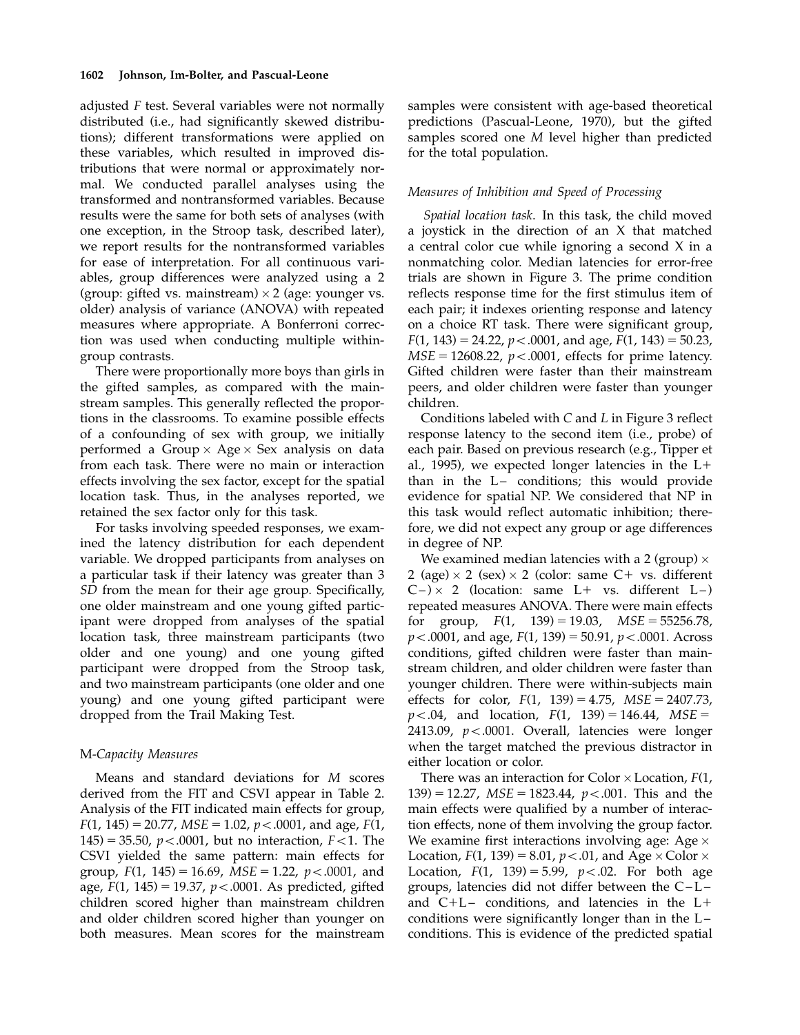adjusted F test. Several variables were not normally distributed (i.e., had significantly skewed distributions); different transformations were applied on these variables, which resulted in improved distributions that were normal or approximately normal. We conducted parallel analyses using the transformed and nontransformed variables. Because results were the same for both sets of analyses (with one exception, in the Stroop task, described later), we report results for the nontransformed variables for ease of interpretation. For all continuous variables, group differences were analyzed using a 2 (group: gifted vs. mainstream)  $\times$  2 (age: younger vs. older) analysis of variance (ANOVA) with repeated measures where appropriate. A Bonferroni correction was used when conducting multiple withingroup contrasts.

There were proportionally more boys than girls in the gifted samples, as compared with the mainstream samples. This generally reflected the proportions in the classrooms. To examine possible effects of a confounding of sex with group, we initially performed a Group  $\times$  Age  $\times$  Sex analysis on data from each task. There were no main or interaction effects involving the sex factor, except for the spatial location task. Thus, in the analyses reported, we retained the sex factor only for this task.

For tasks involving speeded responses, we examined the latency distribution for each dependent variable. We dropped participants from analyses on a particular task if their latency was greater than 3 SD from the mean for their age group. Specifically, one older mainstream and one young gifted participant were dropped from analyses of the spatial location task, three mainstream participants (two older and one young) and one young gifted participant were dropped from the Stroop task, and two mainstream participants (one older and one young) and one young gifted participant were dropped from the Trail Making Test.

## M-Capacity Measures

Means and standard deviations for M scores derived from the FIT and CSVI appear in Table 2. Analysis of the FIT indicated main effects for group,  $F(1, 145) = 20.77$ ,  $MSE = 1.02$ ,  $p < .0001$ , and age,  $F(1, 145) = 20.77$ ,  $MSE = 1.02$ ,  $p < .0001$ , and age,  $F(1, 145) = 20.77$  $145$ ) = 35.50,  $p < .0001$ , but no interaction,  $F < 1$ . The CSVI yielded the same pattern: main effects for group,  $F(1, 145) = 16.69$ ,  $MSE = 1.22$ ,  $p < .0001$ , and age,  $F(1, 145) = 19.37$ ,  $p < .0001$ . As predicted, gifted children scored higher than mainstream children and older children scored higher than younger on both measures. Mean scores for the mainstream samples were consistent with age-based theoretical predictions (Pascual-Leone, 1970), but the gifted samples scored one M level higher than predicted for the total population.

## Measures of Inhibition and Speed of Processing

Spatial location task. In this task, the child moved a joystick in the direction of an X that matched a central color cue while ignoring a second X in a nonmatching color. Median latencies for error-free trials are shown in Figure 3. The prime condition reflects response time for the first stimulus item of each pair; it indexes orienting response and latency on a choice RT task. There were significant group,  $F(1, 143) = 24.22$ ,  $p < .0001$ , and age,  $F(1, 143) = 50.23$ ,  $MSE = 12608.22$ ,  $p < .0001$ , effects for prime latency. Gifted children were faster than their mainstream peers, and older children were faster than younger children.

Conditions labeled with  $C$  and  $L$  in Figure 3 reflect response latency to the second item (i.e., probe) of each pair. Based on previous research (e.g., Tipper et al., 1995), we expected longer latencies in the  $L+$ than in the  $L-$  conditions; this would provide evidence for spatial NP. We considered that NP in this task would reflect automatic inhibition; therefore, we did not expect any group or age differences in degree of NP.

We examined median latencies with a 2 (group)  $\times$ 2 (age)  $\times$  2 (sex)  $\times$  2 (color: same C+ vs. different  $C-$ )  $\times$  2 (location: same L+ vs. different L-) repeated measures ANOVA. There were main effects for group,  $F(1, 139) = 19.03$ ,  $MSE = 55256.78$ ,  $p < .0001$ , and age,  $F(1, 139) = 50.91$ ,  $p < .0001$ . Across conditions, gifted children were faster than mainstream children, and older children were faster than younger children. There were within-subjects main effects for color,  $F(1, 139) = 4.75$ ,  $MSE = 2407.73$ ,  $p < .04$ , and location,  $F(1, 139) = 146.44$ ,  $MSE =$ 2413.09,  $p < .0001$ . Overall, latencies were longer when the target matched the previous distractor in either location or color.

There was an interaction for Color  $\times$  Location,  $F(1, \mathcal{E})$ 139) = 12.27,  $MSE = 1823.44$ ,  $p < .001$ . This and the main effects were qualified by a number of interaction effects, none of them involving the group factor. We examine first interactions involving age: Age  $\times$ Location,  $F(1, 139) = 8.01$ ,  $p < .01$ , and Age  $\times$  Color  $\times$ Location,  $F(1, 139) = 5.99$ ,  $p < .02$ . For both age groups, latencies did not differ between the  $C-L$ and  $C+L-$  conditions, and latencies in the  $L+$ conditions were significantly longer than in the  $L$ conditions. This is evidence of the predicted spatial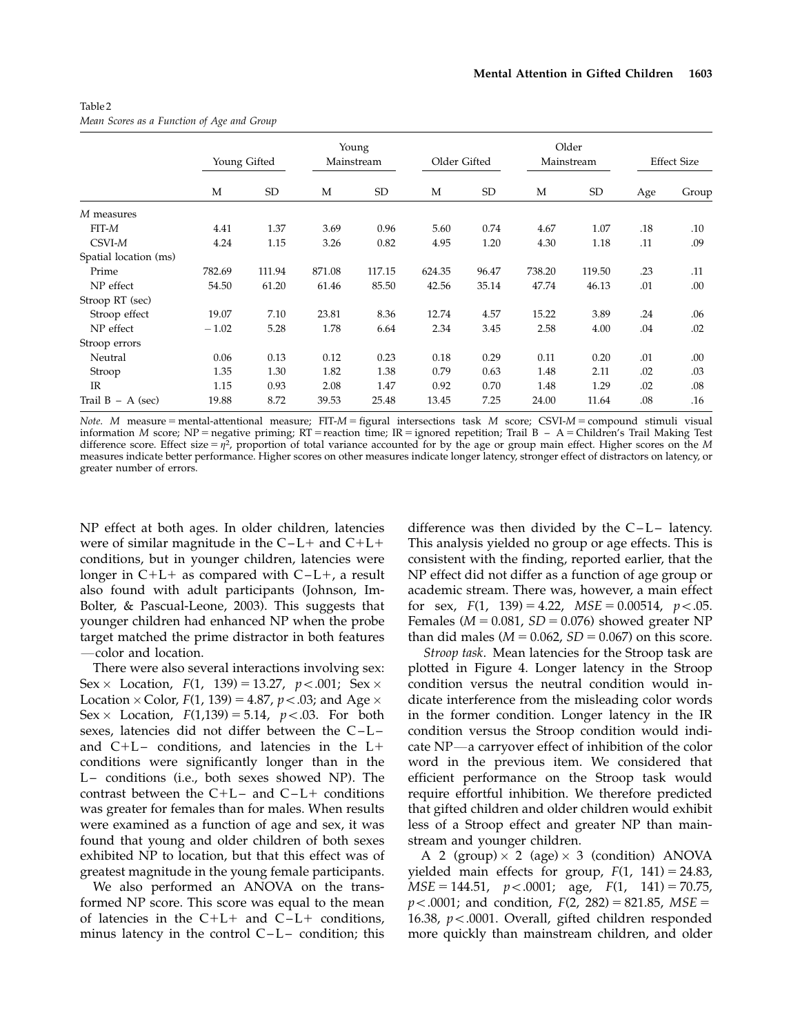| Mean Scores as a Function of Age and Group |              |        |                     |        |              |       |                     |        |                    |       |
|--------------------------------------------|--------------|--------|---------------------|--------|--------------|-------|---------------------|--------|--------------------|-------|
|                                            | Young Gifted |        | Young<br>Mainstream |        | Older Gifted |       | Older<br>Mainstream |        | <b>Effect Size</b> |       |
|                                            | М            | SD     | M                   | SD     | M            | SD    | M                   | SD     | Age                | Group |
| M measures                                 |              |        |                     |        |              |       |                     |        |                    |       |
| FIT-M                                      | 4.41         | 1.37   | 3.69                | 0.96   | 5.60         | 0.74  | 4.67                | 1.07   | .18                | .10   |
| CSVI-M                                     | 4.24         | 1.15   | 3.26                | 0.82   | 4.95         | 1.20  | 4.30                | 1.18   | .11                | .09   |
| Spatial location (ms)                      |              |        |                     |        |              |       |                     |        |                    |       |
| Prime                                      | 782.69       | 111.94 | 871.08              | 117.15 | 624.35       | 96.47 | 738.20              | 119.50 | .23                | .11   |
| NP effect                                  | 54.50        | 61.20  | 61.46               | 85.50  | 42.56        | 35.14 | 47.74               | 46.13  | .01                | .00.  |
| Stroop RT (sec)                            |              |        |                     |        |              |       |                     |        |                    |       |
| Stroop effect                              | 19.07        | 7.10   | 23.81               | 8.36   | 12.74        | 4.57  | 15.22               | 3.89   | .24                | .06   |
| NP effect                                  | $-1.02$      | 5.28   | 1.78                | 6.64   | 2.34         | 3.45  | 2.58                | 4.00   | .04                | .02   |
| Stroop errors                              |              |        |                     |        |              |       |                     |        |                    |       |
| Neutral                                    | 0.06         | 0.13   | 0.12                | 0.23   | 0.18         | 0.29  | 0.11                | 0.20   | .01                | .00   |
| Stroop                                     | 1.35         | 1.30   | 1.82                | 1.38   | 0.79         | 0.63  | 1.48                | 2.11   | .02                | .03   |
| <b>IR</b>                                  | 1.15         | 0.93   | 2.08                | 1.47   | 0.92         | 0.70  | 1.48                | 1.29   | .02                | .08   |
| Trail $B - A$ (sec)                        | 19.88        | 8.72   | 39.53               | 25.48  | 13.45        | 7.25  | 24.00               | 11.64  | .08                | .16   |
|                                            |              |        |                     |        |              |       |                     |        |                    |       |

Note. M measure = mental-attentional measure; FIT-M = figural intersections task M score; CSVI-M = compound stimuli visual information M score; NP = negative priming; RT = reaction time; IR = ignored repetition; Trail B – A = Children's Trail Making Test difference score. Effect size =  $\eta^2$ , proportion of total variance accounted for by the age or group main effect. Higher scores on the M measures indicate better performance. Higher scores on other measures indicate longer latency, stronger effect of distractors on latency, or greater number of errors.

NP effect at both ages. In older children, latencies were of similar magnitude in the  $C-L+$  and  $C+L+$ conditions, but in younger children, latencies were longer in  $C+L+$  as compared with  $C-L+$ , a result also found with adult participants (Johnson, Im-Bolter, & Pascual-Leone, 2003). This suggests that younger children had enhanced NP when the probe target matched the prime distractor in both features -color and location.

There were also several interactions involving sex: Sex  $\times$  Location,  $F(1, 139) = 13.27$ ,  $p < .001$ ; Sex  $\times$ Location  $\times$  Color,  $F(1, 139) = 4.87$ ,  $p < .03$ ; and Age  $\times$ Sex  $\times$  Location,  $F(1,139) = 5.14$ ,  $p < .03$ . For both sexes, latencies did not differ between the C-Land  $C+L-$  conditions, and latencies in the  $L+$ conditions were significantly longer than in the  $L-$  conditions (i.e., both sexes showed NP). The contrast between the  $C+L-$  and  $C-L+$  conditions was greater for females than for males. When results were examined as a function of age and sex, it was found that young and older children of both sexes exhibited NP to location, but that this effect was of greatest magnitude in the young female participants.

We also performed an ANOVA on the transformed NP score. This score was equal to the mean of latencies in the  $C+L+$  and  $C-L+$  conditions, minus latency in the control  $C-L$  – condition; this difference was then divided by the  $C-L-$  latency. This analysis yielded no group or age effects. This is consistent with the finding, reported earlier, that the NP effect did not differ as a function of age group or academic stream. There was, however, a main effect for sex,  $F(1, 139) = 4.22$ ,  $MSE = 0.00514$ ,  $p < .05$ . Females ( $M = 0.081$ ,  $SD = 0.076$ ) showed greater NP than did males ( $M = 0.062$ ,  $SD = 0.067$ ) on this score.

Stroop task. Mean latencies for the Stroop task are plotted in Figure 4. Longer latency in the Stroop condition versus the neutral condition would indicate interference from the misleading color words in the former condition. Longer latency in the IR condition versus the Stroop condition would indicate  $NP$ —a carryover effect of inhibition of the color word in the previous item. We considered that efficient performance on the Stroop task would require effortful inhibition. We therefore predicted that gifted children and older children would exhibit less of a Stroop effect and greater NP than mainstream and younger children.

A 2 (group)  $\times$  2 (age)  $\times$  3 (condition) ANOVA yielded main effects for group,  $F(1, 141) = 24.83$ ,  $MSE = 144.51$ ,  $p < .0001$ ; age,  $F(1, 141) = 70.75$ ,  $p < .0001$ ; and condition,  $F(2, 282) = 821.85$ ,  $MSE =$ 16.38,  $p < .0001$ . Overall, gifted children responded more quickly than mainstream children, and older

# Table 2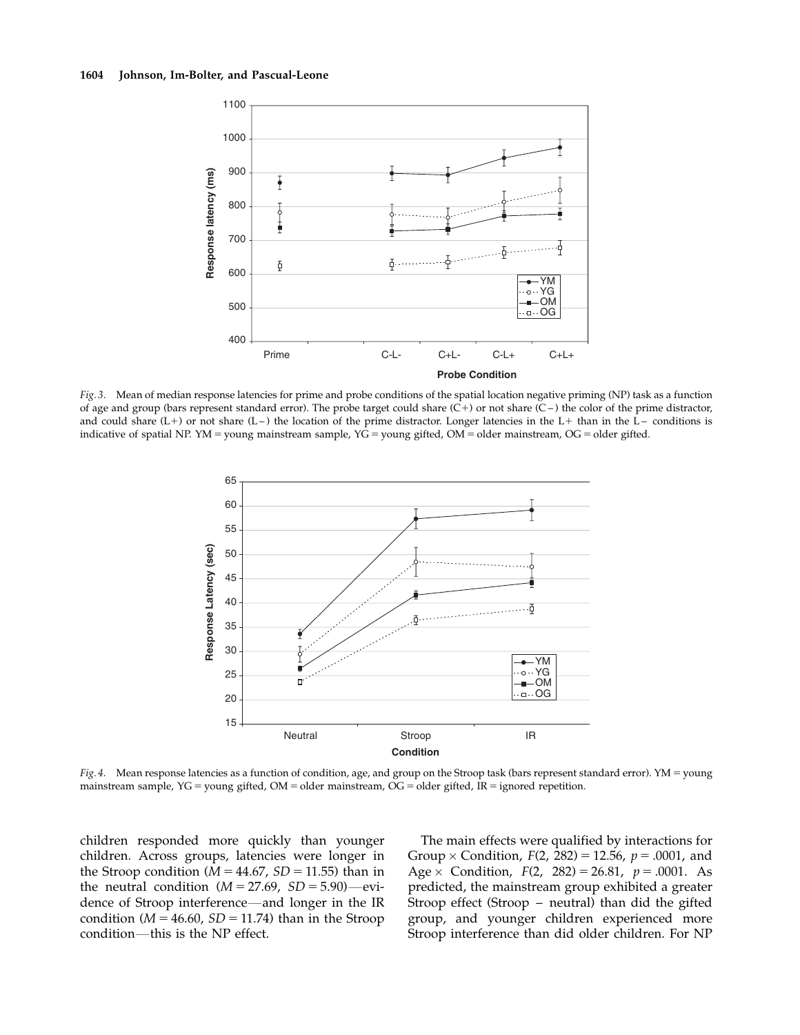

Fig. 3. Mean of median response latencies for prime and probe conditions of the spatial location negative priming (NP) task as a function of age and group (bars represent standard error). The probe target could share  $(C+)$  or not share  $(C-)$  the color of the prime distractor, and could share  $(L+)$  or not share  $(L-)$  the location of the prime distractor. Longer latencies in the  $L+$  than in the  $L-$  conditions is indicative of spatial NP. YM = young mainstream sample, YG = young gifted, OM = older mainstream, OG = older gifted.



 $Fig. 4.$  Mean response latencies as a function of condition, age, and group on the Stroop task (bars represent standard error). YM = young mainstream sample, YG = young gifted,  $OM =$  older mainstream,  $OG =$  older gifted, IR = ignored repetition.

children responded more quickly than younger children. Across groups, latencies were longer in the Stroop condition ( $M = 44.67$ ,  $SD = 11.55$ ) than in the neutral condition  $(M = 27.69, SD = 5.90)$ —evidence of Stroop interference—and longer in the IR condition ( $M = 46.60$ ,  $SD = 11.74$ ) than in the Stroop condition-this is the NP effect.

The main effects were qualified by interactions for Group  $\times$  Condition,  $F(2, 282) = 12.56$ ,  $p = .0001$ , and Age  $\times$  Condition,  $F(2, 282) = 26.81$ ,  $p = .0001$ . As predicted, the mainstream group exhibited a greater Stroop effect (Stroop – neutral) than did the gifted group, and younger children experienced more Stroop interference than did older children. For NP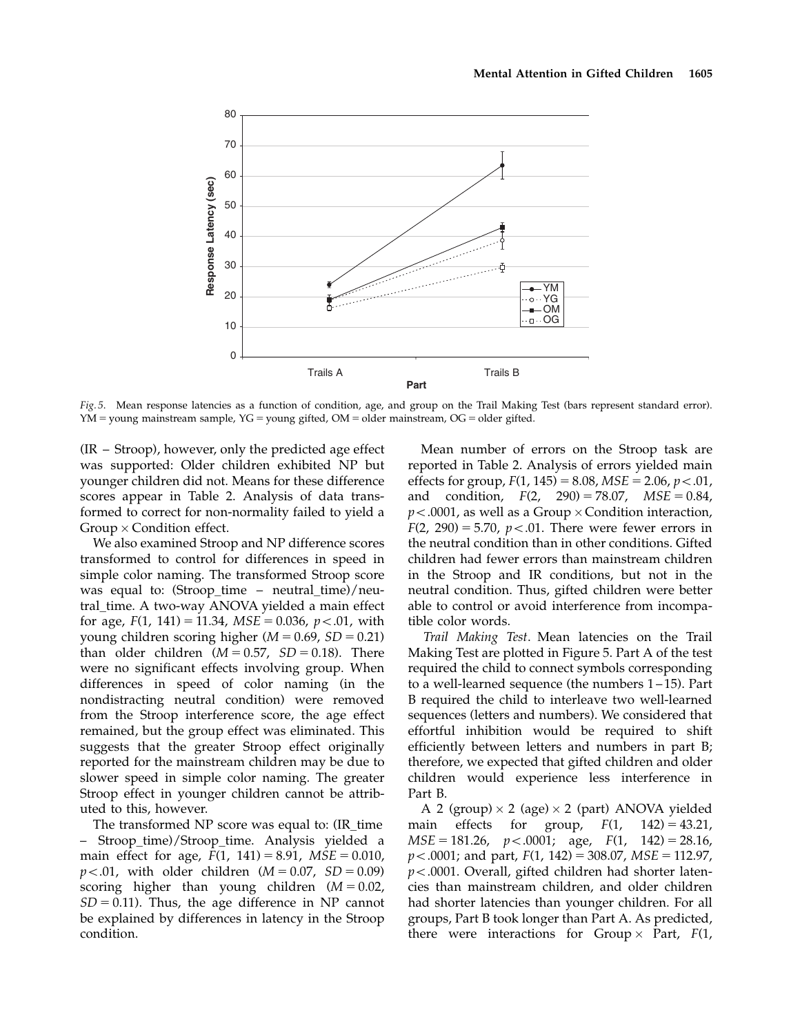

Fig. 5. Mean response latencies as a function of condition, age, and group on the Trail Making Test (bars represent standard error).  $YM =$ young mainstream sample, YG = young gifted, OM = older mainstream, OG = older gifted.

(IR – Stroop), however, only the predicted age effect was supported: Older children exhibited NP but younger children did not. Means for these difference scores appear in Table 2. Analysis of data transformed to correct for non-normality failed to yield a Group  $\times$  Condition effect.

We also examined Stroop and NP difference scores transformed to control for differences in speed in simple color naming. The transformed Stroop score was equal to: (Stroop\_time – neutral\_time)/neutral\_time. A two-way ANOVA yielded a main effect for age,  $F(1, 141) = 11.34$ ,  $MSE = 0.036$ ,  $p < .01$ , with young children scoring higher  $(M = 0.69, SD = 0.21)$ than older children  $(M = 0.57, SD = 0.18)$ . There were no significant effects involving group. When differences in speed of color naming (in the nondistracting neutral condition) were removed from the Stroop interference score, the age effect remained, but the group effect was eliminated. This suggests that the greater Stroop effect originally reported for the mainstream children may be due to slower speed in simple color naming. The greater Stroop effect in younger children cannot be attributed to this, however.

The transformed NP score was equal to: (IR\_time – Stroop\_time)/Stroop\_time. Analysis yielded a main effect for age,  $F(1, 141) = 8.91$ ,  $MSE = 0.010$ ,  $p < .01$ , with older children (*M* = 0.07, *SD* = 0.09) scoring higher than young children  $(M = 0.02)$ ,  $SD = 0.11$ ). Thus, the age difference in NP cannot be explained by differences in latency in the Stroop condition.

Mean number of errors on the Stroop task are reported in Table 2. Analysis of errors yielded main effects for group,  $F(1, 145) = 8.08$ ,  $MSE = 2.06$ ,  $p < .01$ , and condition,  $F(2, 290) = 78.07$ ,  $MSE = 0.84$ ,  $p<.0001$ , as well as a Group  $\times$  Condition interaction,  $F(2, 290) = 5.70$ ,  $p < .01$ . There were fewer errors in the neutral condition than in other conditions. Gifted children had fewer errors than mainstream children in the Stroop and IR conditions, but not in the neutral condition. Thus, gifted children were better able to control or avoid interference from incompatible color words.

Trail Making Test. Mean latencies on the Trail Making Test are plotted in Figure 5. Part A of the test required the child to connect symbols corresponding to a well-learned sequence (the numbers 1 – 15). Part B required the child to interleave two well-learned sequences (letters and numbers). We considered that effortful inhibition would be required to shift efficiently between letters and numbers in part B; therefore, we expected that gifted children and older children would experience less interference in Part B.

A 2 (group)  $\times$  2 (age)  $\times$  2 (part) ANOVA yielded main effects for group,  $F(1, 142) = 43.21$ ,  $MSE = 181.26$ ,  $p < .0001$ ; age,  $F(1, 142) = 28.16$ ,  $p < .0001$ ; and part,  $F(1, 142) = 308.07$ ,  $MSE = 112.97$ ,  $p<.0001$ . Overall, gifted children had shorter latencies than mainstream children, and older children had shorter latencies than younger children. For all groups, Part B took longer than Part A. As predicted, there were interactions for Group  $\times$  Part,  $F(1,$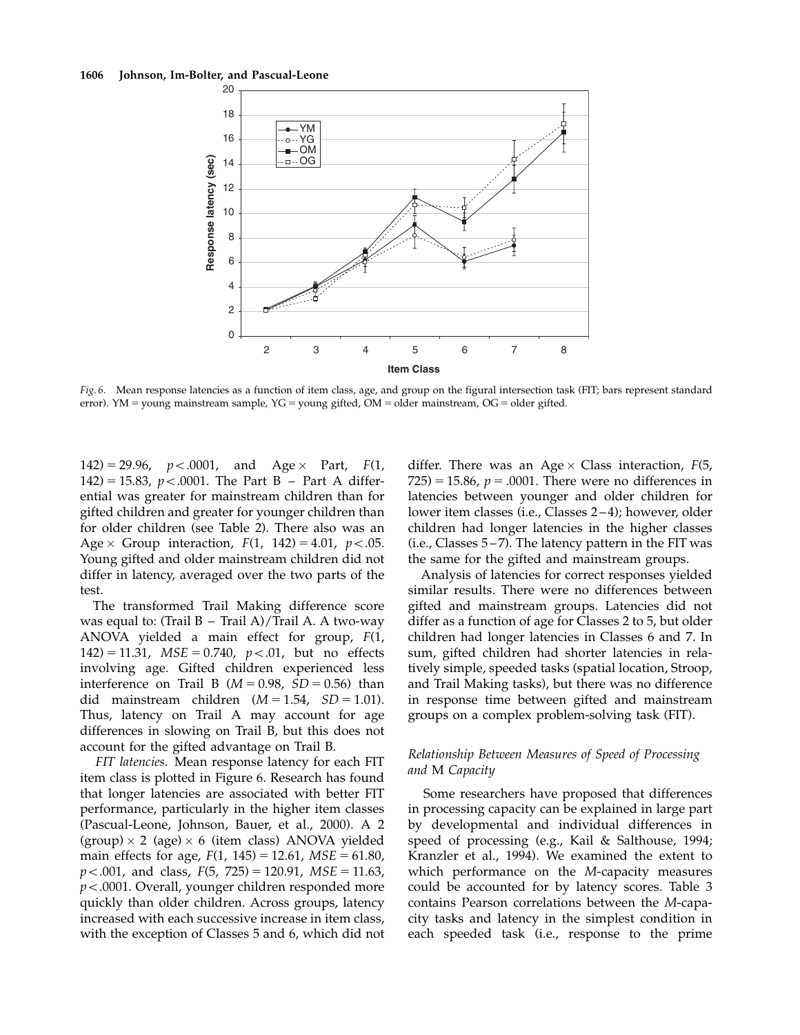

Fig. 6. Mean response latencies as a function of item class, age, and group on the figural intersection task (FIT; bars represent standard error). YM = young mainstream sample, YG = young gifted, OM = older mainstream, OG = older gifted.

142) = 29.96,  $p < .0001$ , and Age  $\times$  Part, F(1, 142) = 15.83,  $p < .0001$ . The Part B – Part A differential was greater for mainstream children than for gifted children and greater for younger children than for older children (see Table 2). There also was an Age  $\times$  Group interaction,  $F(1, 142) = 4.01$ ,  $p < .05$ . Young gifted and older mainstream children did not differ in latency, averaged over the two parts of the test.

The transformed Trail Making difference score was equal to: (Trail B – Trail A)/Trail A. A two-way ANOVA yielded a main effect for group, F(1, 142) = 11.31,  $MSE = 0.740$ ,  $p < .01$ , but no effects involving age. Gifted children experienced less interference on Trail B ( $M = 0.98$ ,  $SD = 0.56$ ) than did mainstream children  $(M = 1.54, SD = 1.01)$ . Thus, latency on Trail A may account for age differences in slowing on Trail B, but this does not account for the gifted advantage on Trail B.

FIT latencies. Mean response latency for each FIT item class is plotted in Figure 6. Research has found that longer latencies are associated with better FIT performance, particularly in the higher item classes (Pascual-Leone, Johnson, Bauer, et al., 2000). A 2 (group)  $\times$  2 (age)  $\times$  6 (item class) ANOVA yielded main effects for age,  $F(1, 145) = 12.61$ ,  $MSE = 61.80$ ,  $p < .001$ , and class,  $F(5, 725) = 120.91$ ,  $MSE = 11.63$ ,  $p<.0001$ . Overall, younger children responded more quickly than older children. Across groups, latency increased with each successive increase in item class, with the exception of Classes 5 and 6, which did not differ. There was an Age  $\times$  Class interaction,  $F(5, 6)$  $725$ ) = 15.86,  $p = .0001$ . There were no differences in latencies between younger and older children for lower item classes (i.e., Classes 2 – 4); however, older children had longer latencies in the higher classes  $(i.e., Classes 5–7)$ . The latency pattern in the FIT was the same for the gifted and mainstream groups.

Analysis of latencies for correct responses yielded similar results. There were no differences between gifted and mainstream groups. Latencies did not differ as a function of age for Classes 2 to 5, but older children had longer latencies in Classes 6 and 7. In sum, gifted children had shorter latencies in relatively simple, speeded tasks (spatial location, Stroop, and Trail Making tasks), but there was no difference in response time between gifted and mainstream groups on a complex problem-solving task (FIT).

## Relationship Between Measures of Speed of Processing and M Capacity

Some researchers have proposed that differences in processing capacity can be explained in large part by developmental and individual differences in speed of processing (e.g., Kail & Salthouse, 1994; Kranzler et al., 1994). We examined the extent to which performance on the M-capacity measures could be accounted for by latency scores. Table 3 contains Pearson correlations between the M-capacity tasks and latency in the simplest condition in each speeded task (i.e., response to the prime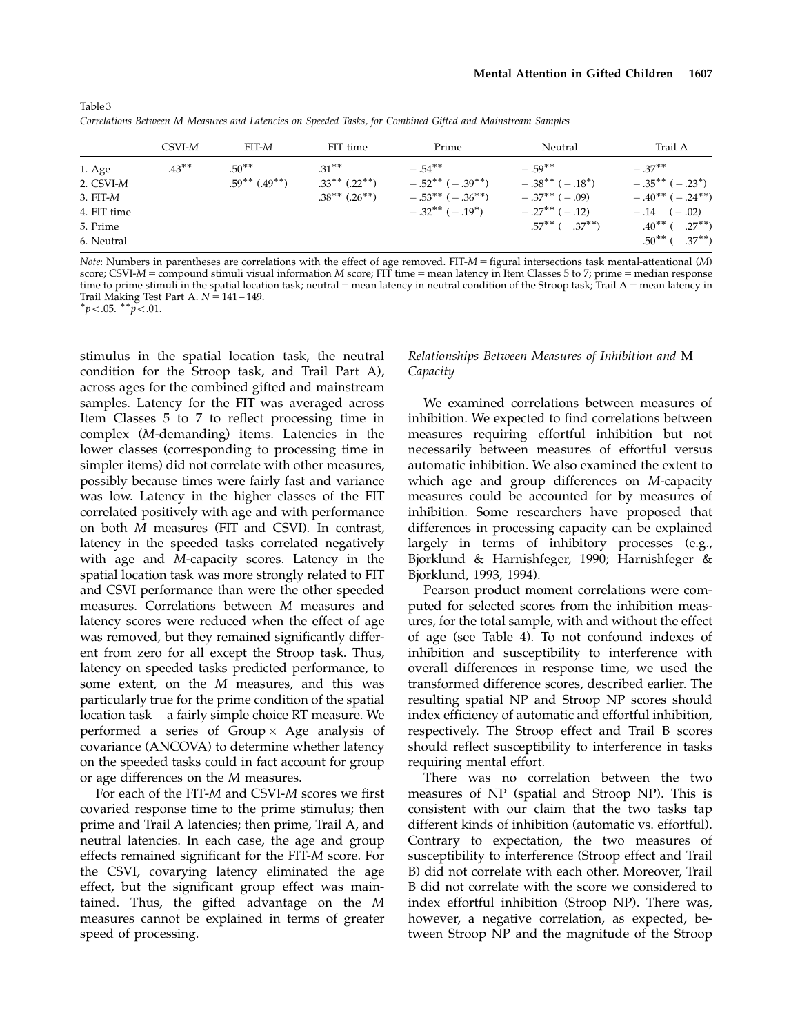|               | CSVI-M  | $FIT-M$             | FIT time            | Prime              | Neutral               | Trail A                     |
|---------------|---------|---------------------|---------------------|--------------------|-----------------------|-----------------------------|
| 1. Age        | $.43**$ | $.50**$             | $31**$              | $-.54***$          | $-.59***$             | $-.37***$                   |
| 2. CSVI-M     |         | $.59***$ $(.49***)$ | $.33***$ $(.22***)$ | $-.52***(-.39***)$ | $-.38***(-.18^*)$     | $-.35***(-.23")$            |
| $3.$ FIT- $M$ |         |                     | $.38***$ $(.26**)$  | $-.53***(-.36***)$ | $-.37***(-.09)$       | $-.40^{**}$ ( $-.24^{**}$ ) |
| 4. FIT time   |         |                     |                     | $-.32***(-.19^*)$  | $-.27$ ** ( $-.12$ )  | $-.14$ $(-.02)$             |
| 5. Prime      |         |                     |                     |                    | $.57***$ ( $.37***$ ) | $.40^{**}$ ( $.27^{**}$ )   |
| 6. Neutral    |         |                     |                     |                    |                       | $.50^{**}$ ( $.37^{**}$ )   |
|               |         |                     |                     |                    |                       |                             |

| Table 3                                                                                                    |  |  |
|------------------------------------------------------------------------------------------------------------|--|--|
| Correlations Between M Measures and Latencies on Speeded Tasks, for Combined Gifted and Mainstream Samples |  |  |

Note: Numbers in parentheses are correlations with the effect of age removed. FIT- $M =$  figural intersections task mental-attentional  $(M)$ score; CSVI-M = compound stimuli visual information M score; FIT time = mean latency in Item Classes 5 to 7; prime = median response time to prime stimuli in the spatial location task; neutral = mean latency in neutral condition of the Stroop task; Trail A = mean latency in Trail Making Test Part A.  $N = 141 - 149$ .<br>\* $p < .05$ . \*\* $p < .01$ .

stimulus in the spatial location task, the neutral condition for the Stroop task, and Trail Part A), across ages for the combined gifted and mainstream samples. Latency for the FIT was averaged across Item Classes 5 to 7 to reflect processing time in complex (M-demanding) items. Latencies in the lower classes (corresponding to processing time in simpler items) did not correlate with other measures, possibly because times were fairly fast and variance was low. Latency in the higher classes of the FIT correlated positively with age and with performance on both M measures (FIT and CSVI). In contrast, latency in the speeded tasks correlated negatively with age and M-capacity scores. Latency in the spatial location task was more strongly related to FIT and CSVI performance than were the other speeded measures. Correlations between M measures and latency scores were reduced when the effect of age was removed, but they remained significantly different from zero for all except the Stroop task. Thus, latency on speeded tasks predicted performance, to some extent, on the M measures, and this was particularly true for the prime condition of the spatial location task—a fairly simple choice RT measure. We performed a series of Group  $\times$  Age analysis of covariance (ANCOVA) to determine whether latency on the speeded tasks could in fact account for group or age differences on the M measures.

For each of the FIT-M and CSVI-M scores we first covaried response time to the prime stimulus; then prime and Trail A latencies; then prime, Trail A, and neutral latencies. In each case, the age and group effects remained significant for the FIT-M score. For the CSVI, covarying latency eliminated the age effect, but the significant group effect was maintained. Thus, the gifted advantage on the M measures cannot be explained in terms of greater speed of processing.

## Relationships Between Measures of Inhibition and M Capacity

We examined correlations between measures of inhibition. We expected to find correlations between measures requiring effortful inhibition but not necessarily between measures of effortful versus automatic inhibition. We also examined the extent to which age and group differences on M-capacity measures could be accounted for by measures of inhibition. Some researchers have proposed that differences in processing capacity can be explained largely in terms of inhibitory processes (e.g., Bjorklund & Harnishfeger, 1990; Harnishfeger & Bjorklund, 1993, 1994).

Pearson product moment correlations were computed for selected scores from the inhibition measures, for the total sample, with and without the effect of age (see Table 4). To not confound indexes of inhibition and susceptibility to interference with overall differences in response time, we used the transformed difference scores, described earlier. The resulting spatial NP and Stroop NP scores should index efficiency of automatic and effortful inhibition, respectively. The Stroop effect and Trail B scores should reflect susceptibility to interference in tasks requiring mental effort.

There was no correlation between the two measures of NP (spatial and Stroop NP). This is consistent with our claim that the two tasks tap different kinds of inhibition (automatic vs. effortful). Contrary to expectation, the two measures of susceptibility to interference (Stroop effect and Trail B) did not correlate with each other. Moreover, Trail B did not correlate with the score we considered to index effortful inhibition (Stroop NP). There was, however, a negative correlation, as expected, between Stroop NP and the magnitude of the Stroop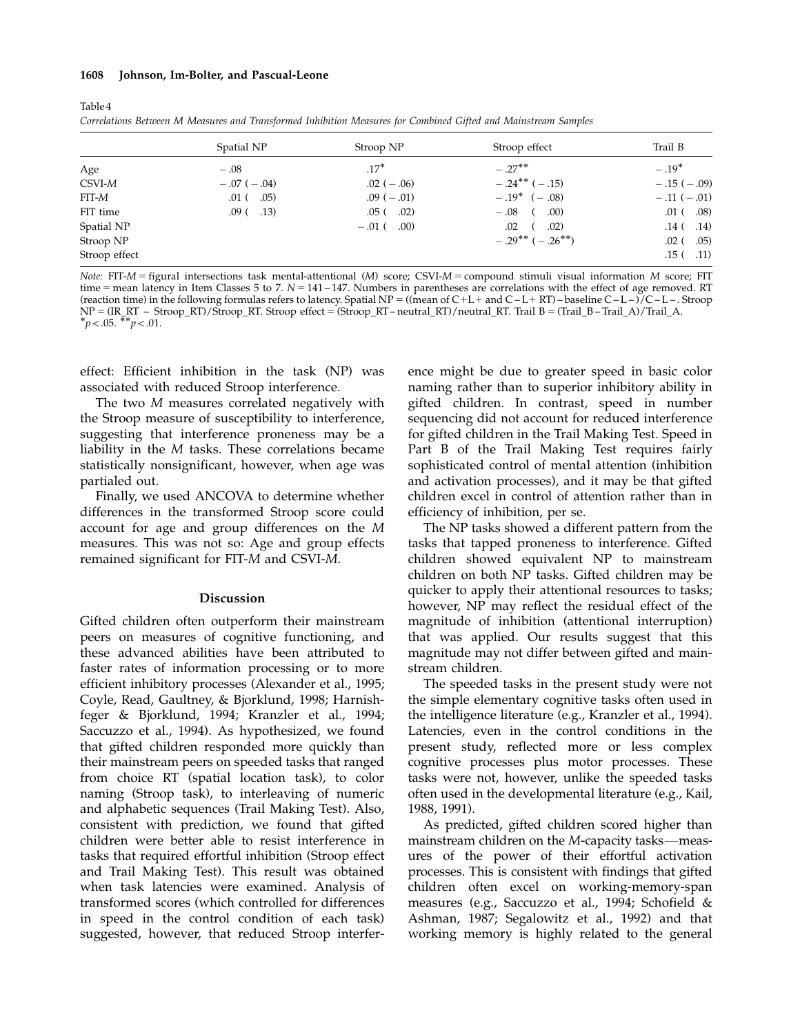#### 1608 Johnson, Im-Bolter, and Pascual-Leone

Table 4

|               | Spatial NP      | Stroop NP        | Stroop effect      | Trail B         |  |
|---------------|-----------------|------------------|--------------------|-----------------|--|
| Age           | $-.08$          | $.17*$           | $-.27***$          | $-.19*$         |  |
| CSVI-M        | $-.07(-.04)$    | $.02(-.06)$      | $-.24***(-.15)$    | $-.15(-.09)$    |  |
| $FIT-M$       | .05)<br>$.01$ ( | $.09(-.01)$      | $-.19*$ ( $-.08$ ) | $-.11 (-.01)$   |  |
| FIT time      | $.09$ ( $.13$ ) | $.05$ ( $.02$ )  | $-.08$ (<br>.00    | $.01$ ( $.08$ ) |  |
| Spatial NP    |                 | $-.01$ ( $.00$ ) | .02)<br>$.02\,$    | $.14$ ( $.14$ ) |  |
| Stroop NP     |                 |                  | $-.29***(-.26***)$ | $.02$ ( $.05$ ) |  |
| Stroop effect |                 |                  |                    | $.15(-.11)$     |  |

Correlations Between M Measures and Transformed Inhibition Measures for Combined Gifted and Mainstream Samples

Note: FIT- $M =$  figural intersections task mental-attentional (M) score; CSVI- $M =$  compound stimuli visual information M score; FIT time = mean latency in Item Classes 5 to 7.  $N = 141 - 147$ . Numbers in parentheses are correlations with the effect of age removed. RT (reaction time) in the following formulas refers to latency. Spatial  $NP = ((mean of C + L + and C - L + RT) -$ (reaction time) in the following formulas refers to latency. Spatial NP = ((mean of C+L+ and C-L+ RT) – baseline C-L-)/C-L-. Stroop NP = (IR\_RT – Stroop\_RT)/Stroop\_RT. Stroop effect = (Stroop\_RT–neutral\_RT)/neutral\_RT. Trail B = (Trail\_B–Trail\_A)/Trail\_A.  $*_{p$  < .05.  $^{**}p$  < .01.

effect: Efficient inhibition in the task (NP) was associated with reduced Stroop interference.

The two M measures correlated negatively with the Stroop measure of susceptibility to interference, suggesting that interference proneness may be a liability in the M tasks. These correlations became statistically nonsignificant, however, when age was partialed out.

Finally, we used ANCOVA to determine whether differences in the transformed Stroop score could account for age and group differences on the M measures. This was not so: Age and group effects remained significant for FIT-M and CSVI-M.

#### Discussion

Gifted children often outperform their mainstream peers on measures of cognitive functioning, and these advanced abilities have been attributed to faster rates of information processing or to more efficient inhibitory processes (Alexander et al., 1995; Coyle, Read, Gaultney, & Bjorklund, 1998; Harnishfeger & Bjorklund, 1994; Kranzler et al., 1994; Saccuzzo et al., 1994). As hypothesized, we found that gifted children responded more quickly than their mainstream peers on speeded tasks that ranged from choice RT (spatial location task), to color naming (Stroop task), to interleaving of numeric and alphabetic sequences (Trail Making Test). Also, consistent with prediction, we found that gifted children were better able to resist interference in tasks that required effortful inhibition (Stroop effect and Trail Making Test). This result was obtained when task latencies were examined. Analysis of transformed scores (which controlled for differences in speed in the control condition of each task) suggested, however, that reduced Stroop interference might be due to greater speed in basic color naming rather than to superior inhibitory ability in gifted children. In contrast, speed in number sequencing did not account for reduced interference for gifted children in the Trail Making Test. Speed in Part B of the Trail Making Test requires fairly sophisticated control of mental attention (inhibition and activation processes), and it may be that gifted children excel in control of attention rather than in efficiency of inhibition, per se.

The NP tasks showed a different pattern from the tasks that tapped proneness to interference. Gifted children showed equivalent NP to mainstream children on both NP tasks. Gifted children may be quicker to apply their attentional resources to tasks; however, NP may reflect the residual effect of the magnitude of inhibition (attentional interruption) that was applied. Our results suggest that this magnitude may not differ between gifted and mainstream children.

The speeded tasks in the present study were not the simple elementary cognitive tasks often used in the intelligence literature (e.g., Kranzler et al., 1994). Latencies, even in the control conditions in the present study, reflected more or less complex cognitive processes plus motor processes. These tasks were not, however, unlike the speeded tasks often used in the developmental literature (e.g., Kail, 1988, 1991).

As predicted, gifted children scored higher than mainstream children on the  $M$ -capacity tasks—measures of the power of their effortful activation processes. This is consistent with findings that gifted children often excel on working-memory-span measures (e.g., Saccuzzo et al., 1994; Schofield & Ashman, 1987; Segalowitz et al., 1992) and that working memory is highly related to the general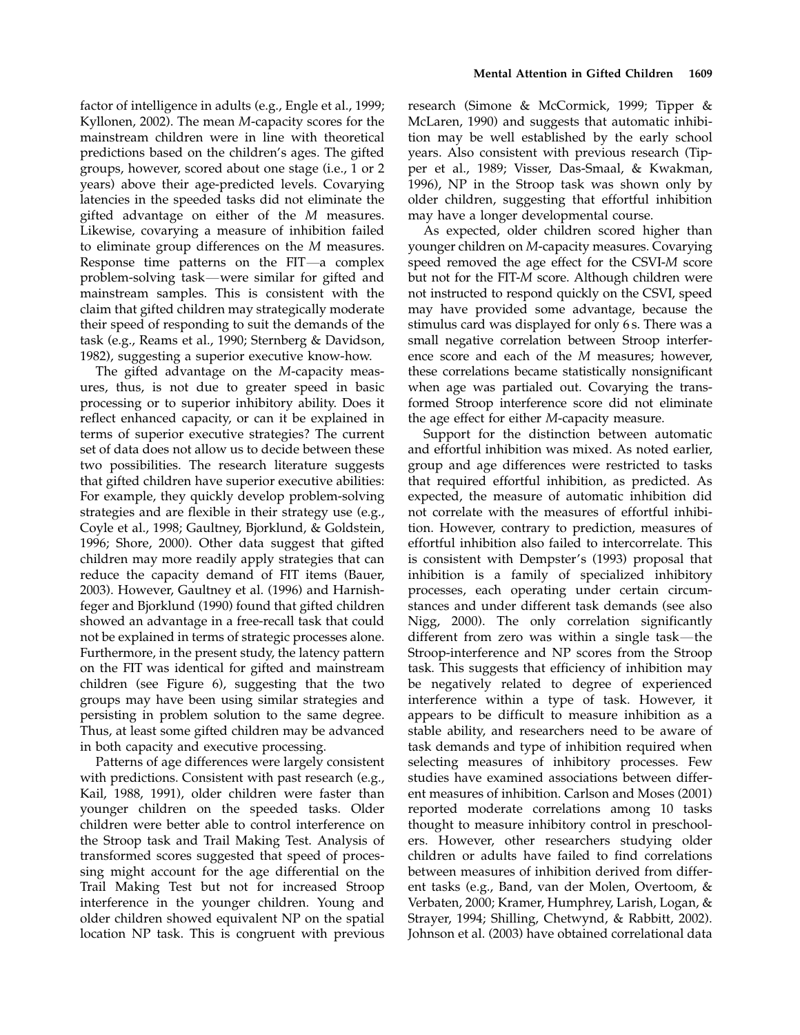factor of intelligence in adults (e.g., Engle et al., 1999; Kyllonen, 2002). The mean M-capacity scores for the mainstream children were in line with theoretical predictions based on the children's ages. The gifted groups, however, scored about one stage (i.e., 1 or 2 years) above their age-predicted levels. Covarying latencies in the speeded tasks did not eliminate the gifted advantage on either of the M measures. Likewise, covarying a measure of inhibition failed to eliminate group differences on the M measures. Response time patterns on the  $FIT$ —a complex problem-solving task—were similar for gifted and mainstream samples. This is consistent with the claim that gifted children may strategically moderate their speed of responding to suit the demands of the task (e.g., Reams et al., 1990; Sternberg & Davidson, 1982), suggesting a superior executive know-how.

The gifted advantage on the M-capacity measures, thus, is not due to greater speed in basic processing or to superior inhibitory ability. Does it reflect enhanced capacity, or can it be explained in terms of superior executive strategies? The current set of data does not allow us to decide between these two possibilities. The research literature suggests that gifted children have superior executive abilities: For example, they quickly develop problem-solving strategies and are flexible in their strategy use (e.g., Coyle et al., 1998; Gaultney, Bjorklund, & Goldstein, 1996; Shore, 2000). Other data suggest that gifted children may more readily apply strategies that can reduce the capacity demand of FIT items (Bauer, 2003). However, Gaultney et al. (1996) and Harnishfeger and Bjorklund (1990) found that gifted children showed an advantage in a free-recall task that could not be explained in terms of strategic processes alone. Furthermore, in the present study, the latency pattern on the FIT was identical for gifted and mainstream children (see Figure 6), suggesting that the two groups may have been using similar strategies and persisting in problem solution to the same degree. Thus, at least some gifted children may be advanced in both capacity and executive processing.

Patterns of age differences were largely consistent with predictions. Consistent with past research (e.g., Kail, 1988, 1991), older children were faster than younger children on the speeded tasks. Older children were better able to control interference on the Stroop task and Trail Making Test. Analysis of transformed scores suggested that speed of processing might account for the age differential on the Trail Making Test but not for increased Stroop interference in the younger children. Young and older children showed equivalent NP on the spatial location NP task. This is congruent with previous

research (Simone & McCormick, 1999; Tipper & McLaren, 1990) and suggests that automatic inhibition may be well established by the early school years. Also consistent with previous research (Tipper et al., 1989; Visser, Das-Smaal, & Kwakman, 1996), NP in the Stroop task was shown only by older children, suggesting that effortful inhibition may have a longer developmental course.

As expected, older children scored higher than younger children on M-capacity measures. Covarying speed removed the age effect for the CSVI-M score but not for the FIT-M score. Although children were not instructed to respond quickly on the CSVI, speed may have provided some advantage, because the stimulus card was displayed for only 6s. There was a small negative correlation between Stroop interference score and each of the M measures; however, these correlations became statistically nonsignificant when age was partialed out. Covarying the transformed Stroop interference score did not eliminate the age effect for either M-capacity measure.

Support for the distinction between automatic and effortful inhibition was mixed. As noted earlier, group and age differences were restricted to tasks that required effortful inhibition, as predicted. As expected, the measure of automatic inhibition did not correlate with the measures of effortful inhibition. However, contrary to prediction, measures of effortful inhibition also failed to intercorrelate. This is consistent with Dempster's (1993) proposal that inhibition is a family of specialized inhibitory processes, each operating under certain circumstances and under different task demands (see also Nigg, 2000). The only correlation significantly different from zero was within a single task—the Stroop-interference and NP scores from the Stroop task. This suggests that efficiency of inhibition may be negatively related to degree of experienced interference within a type of task. However, it appears to be difficult to measure inhibition as a stable ability, and researchers need to be aware of task demands and type of inhibition required when selecting measures of inhibitory processes. Few studies have examined associations between different measures of inhibition. Carlson and Moses (2001) reported moderate correlations among 10 tasks thought to measure inhibitory control in preschoolers. However, other researchers studying older children or adults have failed to find correlations between measures of inhibition derived from different tasks (e.g., Band, van der Molen, Overtoom, & Verbaten, 2000; Kramer, Humphrey, Larish, Logan, & Strayer, 1994; Shilling, Chetwynd, & Rabbitt, 2002). Johnson et al. (2003) have obtained correlational data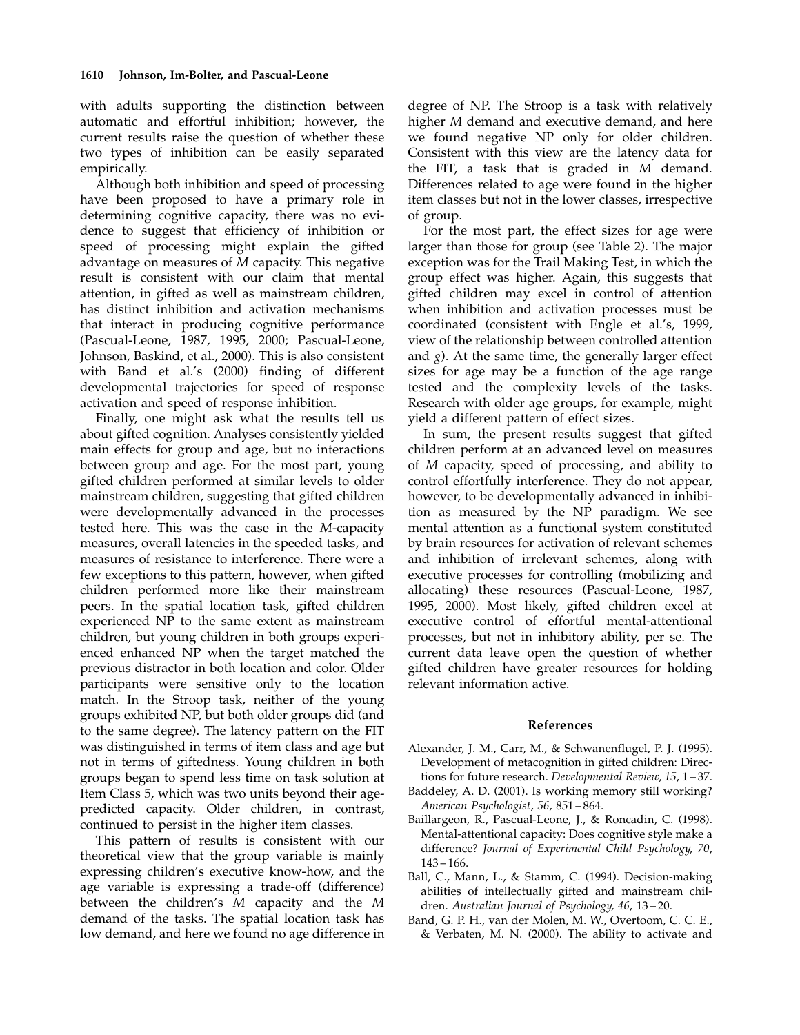with adults supporting the distinction between automatic and effortful inhibition; however, the current results raise the question of whether these two types of inhibition can be easily separated empirically.

Although both inhibition and speed of processing have been proposed to have a primary role in determining cognitive capacity, there was no evidence to suggest that efficiency of inhibition or speed of processing might explain the gifted advantage on measures of M capacity. This negative result is consistent with our claim that mental attention, in gifted as well as mainstream children, has distinct inhibition and activation mechanisms that interact in producing cognitive performance (Pascual-Leone, 1987, 1995, 2000; Pascual-Leone, Johnson, Baskind, et al., 2000). This is also consistent with Band et al.'s (2000) finding of different developmental trajectories for speed of response activation and speed of response inhibition.

Finally, one might ask what the results tell us about gifted cognition. Analyses consistently yielded main effects for group and age, but no interactions between group and age. For the most part, young gifted children performed at similar levels to older mainstream children, suggesting that gifted children were developmentally advanced in the processes tested here. This was the case in the M-capacity measures, overall latencies in the speeded tasks, and measures of resistance to interference. There were a few exceptions to this pattern, however, when gifted children performed more like their mainstream peers. In the spatial location task, gifted children experienced NP to the same extent as mainstream children, but young children in both groups experienced enhanced NP when the target matched the previous distractor in both location and color. Older participants were sensitive only to the location match. In the Stroop task, neither of the young groups exhibited NP, but both older groups did (and to the same degree). The latency pattern on the FIT was distinguished in terms of item class and age but not in terms of giftedness. Young children in both groups began to spend less time on task solution at Item Class 5, which was two units beyond their agepredicted capacity. Older children, in contrast, continued to persist in the higher item classes.

This pattern of results is consistent with our theoretical view that the group variable is mainly expressing children's executive know-how, and the age variable is expressing a trade-off (difference) between the children's M capacity and the M demand of the tasks. The spatial location task has low demand, and here we found no age difference in

degree of NP. The Stroop is a task with relatively higher M demand and executive demand, and here we found negative NP only for older children. Consistent with this view are the latency data for the FIT, a task that is graded in M demand. Differences related to age were found in the higher item classes but not in the lower classes, irrespective of group.

For the most part, the effect sizes for age were larger than those for group (see Table 2). The major exception was for the Trail Making Test, in which the group effect was higher. Again, this suggests that gifted children may excel in control of attention when inhibition and activation processes must be coordinated (consistent with Engle et al.'s, 1999, view of the relationship between controlled attention and  $g$ ). At the same time, the generally larger effect sizes for age may be a function of the age range tested and the complexity levels of the tasks. Research with older age groups, for example, might yield a different pattern of effect sizes.

In sum, the present results suggest that gifted children perform at an advanced level on measures of M capacity, speed of processing, and ability to control effortfully interference. They do not appear, however, to be developmentally advanced in inhibition as measured by the NP paradigm. We see mental attention as a functional system constituted by brain resources for activation of relevant schemes and inhibition of irrelevant schemes, along with executive processes for controlling (mobilizing and allocating) these resources (Pascual-Leone, 1987, 1995, 2000). Most likely, gifted children excel at executive control of effortful mental-attentional processes, but not in inhibitory ability, per se. The current data leave open the question of whether gifted children have greater resources for holding relevant information active.

#### References

- Alexander, J. M., Carr, M., & Schwanenflugel, P. J. (1995). Development of metacognition in gifted children: Directions for future research. Developmental Review, 15, 1-37.
- Baddeley, A. D. (2001). Is working memory still working? American Psychologist, 56, 851 – 864.
- Baillargeon, R., Pascual-Leone, J., & Roncadin, C. (1998). Mental-attentional capacity: Does cognitive style make a difference? Journal of Experimental Child Psychology, 70, 143 – 166.
- Ball, C., Mann, L., & Stamm, C. (1994). Decision-making abilities of intellectually gifted and mainstream children. Australian Journal of Psychology, 46, 13 – 20.
- Band, G. P. H., van der Molen, M. W., Overtoom, C. C. E., & Verbaten, M. N. (2000). The ability to activate and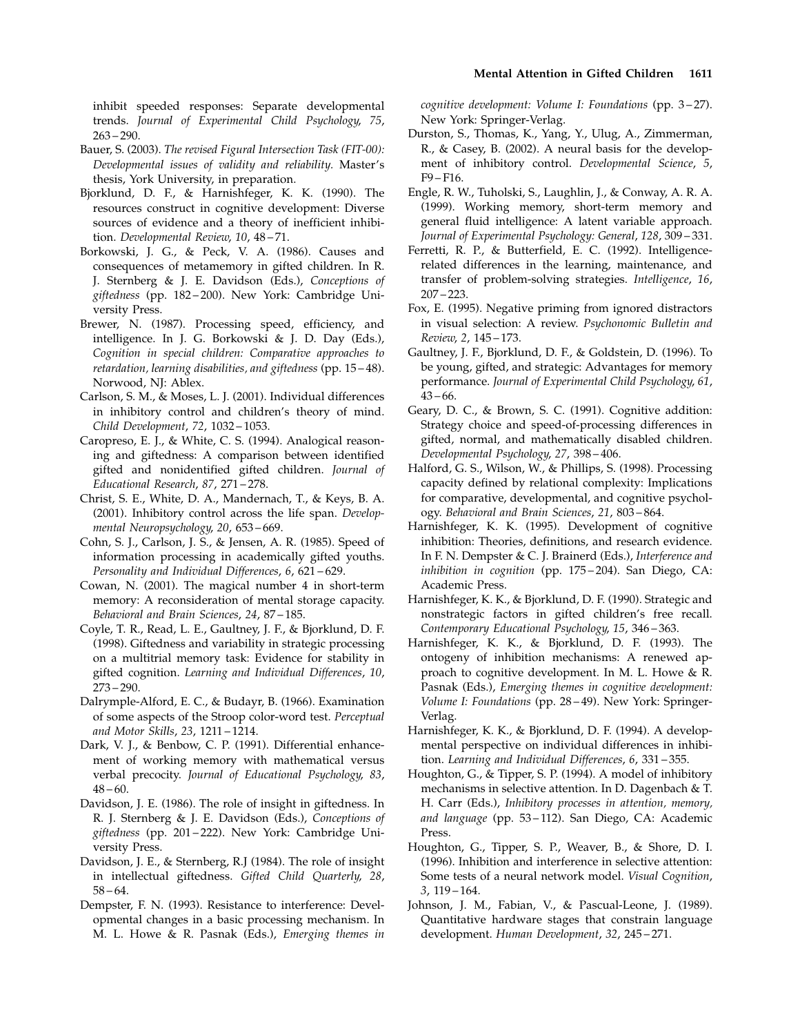inhibit speeded responses: Separate developmental trends. Journal of Experimental Child Psychology, 75,  $263 - 290$ .

- Bauer, S. (2003). The revised Figural Intersection Task (FIT-00): Developmental issues of validity and reliability. Master's thesis, York University, in preparation.
- Bjorklund, D. F., & Harnishfeger, K. K. (1990). The resources construct in cognitive development: Diverse sources of evidence and a theory of inefficient inhibition. Developmental Review, 10, 48-71.
- Borkowski, J. G., & Peck, V. A. (1986). Causes and consequences of metamemory in gifted children. In R. J. Sternberg & J. E. Davidson (Eds.), Conceptions of giftedness (pp. 182-200). New York: Cambridge University Press.
- Brewer, N. (1987). Processing speed, efficiency, and intelligence. In J. G. Borkowski & J. D. Day (Eds.), Cognition in special children: Comparative approaches to retardation, learning disabilities, and giftedness (pp. 15 – 48). Norwood, NJ: Ablex.
- Carlson, S. M., & Moses, L. J. (2001). Individual differences in inhibitory control and children's theory of mind. Child Development, 72, 1032 – 1053.
- Caropreso, E. J., & White, C. S. (1994). Analogical reasoning and giftedness: A comparison between identified gifted and nonidentified gifted children. Journal of Educational Research, 87, 271 – 278.
- Christ, S. E., White, D. A., Mandernach, T., & Keys, B. A. (2001). Inhibitory control across the life span. Developmental Neuropsychology, 20, 653 – 669.
- Cohn, S. J., Carlson, J. S., & Jensen, A. R. (1985). Speed of information processing in academically gifted youths. Personality and Individual Differences, 6, 621 – 629.
- Cowan, N. (2001). The magical number 4 in short-term memory: A reconsideration of mental storage capacity. Behavioral and Brain Sciences, 24, 87 – 185.
- Coyle, T. R., Read, L. E., Gaultney, J. F., & Bjorklund, D. F. (1998). Giftedness and variability in strategic processing on a multitrial memory task: Evidence for stability in gifted cognition. Learning and Individual Differences, 10,  $273 - 290.$
- Dalrymple-Alford, E. C., & Budayr, B. (1966). Examination of some aspects of the Stroop color-word test. Perceptual and Motor Skills, 23, 1211 – 1214.
- Dark, V. J., & Benbow, C. P. (1991). Differential enhancement of working memory with mathematical versus verbal precocity. Journal of Educational Psychology, 83,  $48 - 60.$
- Davidson, J. E. (1986). The role of insight in giftedness. In R. J. Sternberg & J. E. Davidson (Eds.), Conceptions of giftedness (pp. 201 – 222). New York: Cambridge University Press.
- Davidson, J. E., & Sternberg, R.J (1984). The role of insight in intellectual giftedness. Gifted Child Quarterly, 28, 58 – 64.
- Dempster, F. N. (1993). Resistance to interference: Developmental changes in a basic processing mechanism. In M. L. Howe & R. Pasnak (Eds.), Emerging themes in

cognitive development: Volume I: Foundations (pp. 3 – 27). New York: Springer-Verlag.

- Durston, S., Thomas, K., Yang, Y., Ulug, A., Zimmerman, R., & Casey, B. (2002). A neural basis for the development of inhibitory control. Developmental Science, 5, F9 – F16.
- Engle, R. W., Tuholski, S., Laughlin, J., & Conway, A. R. A. (1999). Working memory, short-term memory and general fluid intelligence: A latent variable approach. Journal of Experimental Psychology: General, 128, 309 – 331.
- Ferretti, R. P., & Butterfield, E. C. (1992). Intelligencerelated differences in the learning, maintenance, and transfer of problem-solving strategies. Intelligence, 16,  $207 - 223$ .
- Fox, E. (1995). Negative priming from ignored distractors in visual selection: A review. Psychonomic Bulletin and Review, 2, 145 – 173.
- Gaultney, J. F., Bjorklund, D. F., & Goldstein, D. (1996). To be young, gifted, and strategic: Advantages for memory performance. Journal of Experimental Child Psychology, 61,  $43 - 66.$
- Geary, D. C., & Brown, S. C. (1991). Cognitive addition: Strategy choice and speed-of-processing differences in gifted, normal, and mathematically disabled children. Developmental Psychology, 27, 398 – 406.
- Halford, G. S., Wilson, W., & Phillips, S. (1998). Processing capacity defined by relational complexity: Implications for comparative, developmental, and cognitive psychology. Behavioral and Brain Sciences, 21, 803 – 864.
- Harnishfeger, K. K. (1995). Development of cognitive inhibition: Theories, definitions, and research evidence. In F. N. Dempster & C. J. Brainerd (Eds.), Interference and inhibition in cognition (pp. 175 – 204). San Diego, CA: Academic Press.
- Harnishfeger, K. K., & Bjorklund, D. F. (1990). Strategic and nonstrategic factors in gifted children's free recall. Contemporary Educational Psychology, 15, 346 – 363.
- Harnishfeger, K. K., & Bjorklund, D. F. (1993). The ontogeny of inhibition mechanisms: A renewed approach to cognitive development. In M. L. Howe & R. Pasnak (Eds.), Emerging themes in cognitive development: Volume I: Foundations (pp. 28 – 49). New York: Springer-Verlag.
- Harnishfeger, K. K., & Bjorklund, D. F. (1994). A developmental perspective on individual differences in inhibition. Learning and Individual Differences, 6, 331 – 355.
- Houghton, G., & Tipper, S. P. (1994). A model of inhibitory mechanisms in selective attention. In D. Dagenbach & T. H. Carr (Eds.), Inhibitory processes in attention, memory, and language (pp. 53 – 112). San Diego, CA: Academic Press.
- Houghton, G., Tipper, S. P., Weaver, B., & Shore, D. I. (1996). Inhibition and interference in selective attention: Some tests of a neural network model. Visual Cognition, 3, 119 – 164.
- Johnson, J. M., Fabian, V., & Pascual-Leone, J. (1989). Quantitative hardware stages that constrain language development. Human Development, 32, 245 – 271.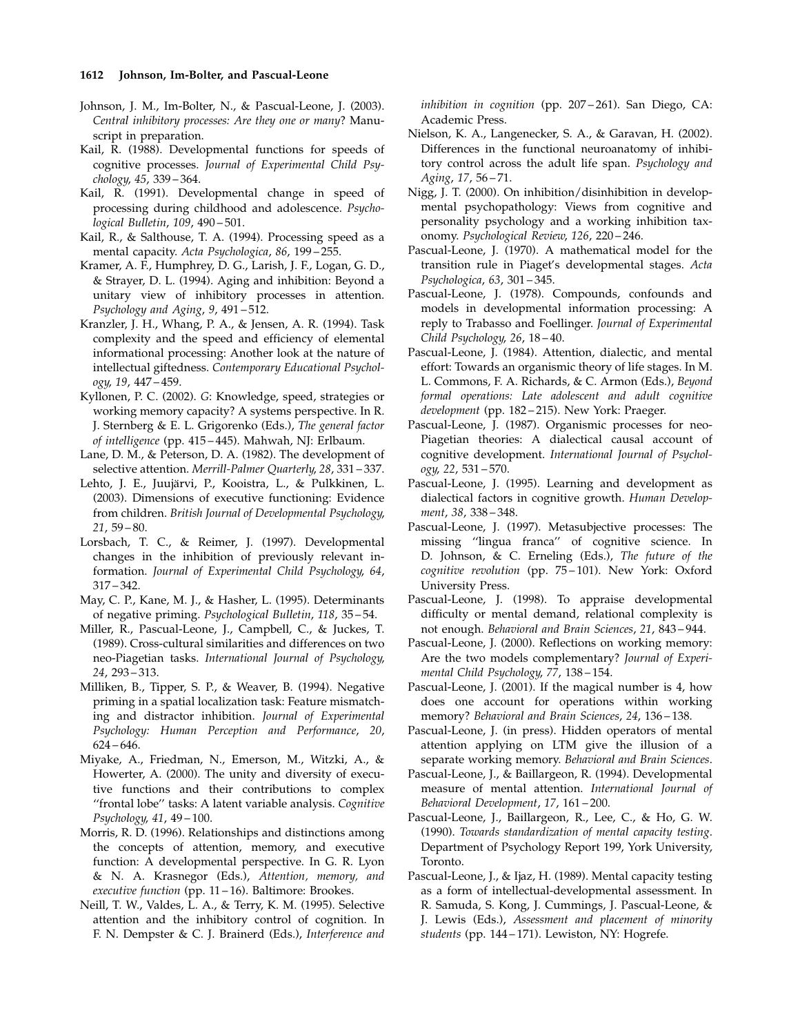#### 1612 Johnson, Im-Bolter, and Pascual-Leone

- Johnson, J. M., Im-Bolter, N., & Pascual-Leone, J. (2003). Central inhibitory processes: Are they one or many? Manuscript in preparation.
- Kail, R. (1988). Developmental functions for speeds of cognitive processes. Journal of Experimental Child Psychology, 45, 339 – 364.
- Kail, R. (1991). Developmental change in speed of processing during childhood and adolescence. Psychological Bulletin, 109, 490 – 501.
- Kail, R., & Salthouse, T. A. (1994). Processing speed as a mental capacity. Acta Psychologica, 86, 199 – 255.
- Kramer, A. F., Humphrey, D. G., Larish, J. F., Logan, G. D., & Strayer, D. L. (1994). Aging and inhibition: Beyond a unitary view of inhibitory processes in attention. Psychology and Aging, 9, 491-512.
- Kranzler, J. H., Whang, P. A., & Jensen, A. R. (1994). Task complexity and the speed and efficiency of elemental informational processing: Another look at the nature of intellectual giftedness. Contemporary Educational Psychology, 19, 447 – 459.
- Kyllonen, P. C. (2002). G: Knowledge, speed, strategies or working memory capacity? A systems perspective. In R. J. Sternberg & E. L. Grigorenko (Eds.), The general factor of intelligence (pp. 415 – 445). Mahwah, NJ: Erlbaum.
- Lane, D. M., & Peterson, D. A. (1982). The development of selective attention. Merrill-Palmer Quarterly, 28, 331 – 337.
- Lehto, J. E., Juujärvi, P., Kooistra, L., & Pulkkinen, L. (2003). Dimensions of executive functioning: Evidence from children. British Journal of Developmental Psychology,  $21, 59 - 80.$
- Lorsbach, T. C., & Reimer, J. (1997). Developmental changes in the inhibition of previously relevant information. Journal of Experimental Child Psychology, 64, 317 – 342.
- May, C. P., Kane, M. J., & Hasher, L. (1995). Determinants of negative priming. Psychological Bulletin, 118, 35 – 54.
- Miller, R., Pascual-Leone, J., Campbell, C., & Juckes, T. (1989). Cross-cultural similarities and differences on two neo-Piagetian tasks. International Journal of Psychology, 24, 293 – 313.
- Milliken, B., Tipper, S. P., & Weaver, B. (1994). Negative priming in a spatial localization task: Feature mismatching and distractor inhibition. Journal of Experimental Psychology: Human Perception and Performance, 20,  $624 - 646.$
- Miyake, A., Friedman, N., Emerson, M., Witzki, A., & Howerter, A. (2000). The unity and diversity of executive functions and their contributions to complex "frontal lobe" tasks: A latent variable analysis. Cognitive Psychology, 41, 49-100.
- Morris, R. D. (1996). Relationships and distinctions among the concepts of attention, memory, and executive function: A developmental perspective. In G. R. Lyon & N. A. Krasnegor (Eds.), Attention, memory, and executive function (pp. 11-16). Baltimore: Brookes.
- Neill, T. W., Valdes, L. A., & Terry, K. M. (1995). Selective attention and the inhibitory control of cognition. In F. N. Dempster & C. J. Brainerd (Eds.), Interference and

inhibition in cognition (pp. 207 – 261). San Diego, CA: Academic Press.

- Nielson, K. A., Langenecker, S. A., & Garavan, H. (2002). Differences in the functional neuroanatomy of inhibitory control across the adult life span. Psychology and Aging, 17, 56 – 71.
- Nigg, J. T. (2000). On inhibition/disinhibition in developmental psychopathology: Views from cognitive and personality psychology and a working inhibition taxonomy. Psychological Review, 126, 220 – 246.
- Pascual-Leone, J. (1970). A mathematical model for the transition rule in Piaget's developmental stages. Acta Psychologica, 63, 301 – 345.
- Pascual-Leone, J. (1978). Compounds, confounds and models in developmental information processing: A reply to Trabasso and Foellinger. Journal of Experimental Child Psychology, 26, 18-40.
- Pascual-Leone, J. (1984). Attention, dialectic, and mental effort: Towards an organismic theory of life stages. In M. L. Commons, F. A. Richards, & C. Armon (Eds.), Beyond formal operations: Late adolescent and adult cognitive development (pp. 182-215). New York: Praeger.
- Pascual-Leone, J. (1987). Organismic processes for neo-Piagetian theories: A dialectical causal account of cognitive development. International Journal of Psychology, 22, 531 – 570.
- Pascual-Leone, J. (1995). Learning and development as dialectical factors in cognitive growth. Human Development, 38, 338 – 348.
- Pascual-Leone, J. (1997). Metasubjective processes: The missing ''lingua franca'' of cognitive science. In D. Johnson, & C. Erneling (Eds.), The future of the cognitive revolution (pp. 75-101). New York: Oxford University Press.
- Pascual-Leone, J. (1998). To appraise developmental difficulty or mental demand, relational complexity is not enough. Behavioral and Brain Sciences, 21, 843 – 944.
- Pascual-Leone, J. (2000). Reflections on working memory: Are the two models complementary? Journal of Experimental Child Psychology, 77, 138 – 154.
- Pascual-Leone, J. (2001). If the magical number is 4, how does one account for operations within working memory? Behavioral and Brain Sciences, 24, 136 – 138.
- Pascual-Leone, J. (in press). Hidden operators of mental attention applying on LTM give the illusion of a separate working memory. Behavioral and Brain Sciences.
- Pascual-Leone, J., & Baillargeon, R. (1994). Developmental measure of mental attention. International Journal of Behavioral Development, 17, 161 – 200.
- Pascual-Leone, J., Baillargeon, R., Lee, C., & Ho, G. W. (1990). Towards standardization of mental capacity testing. Department of Psychology Report 199, York University, Toronto.
- Pascual-Leone, J., & Ijaz, H. (1989). Mental capacity testing as a form of intellectual-developmental assessment. In R. Samuda, S. Kong, J. Cummings, J. Pascual-Leone, & J. Lewis (Eds.), Assessment and placement of minority students (pp. 144-171). Lewiston, NY: Hogrefe.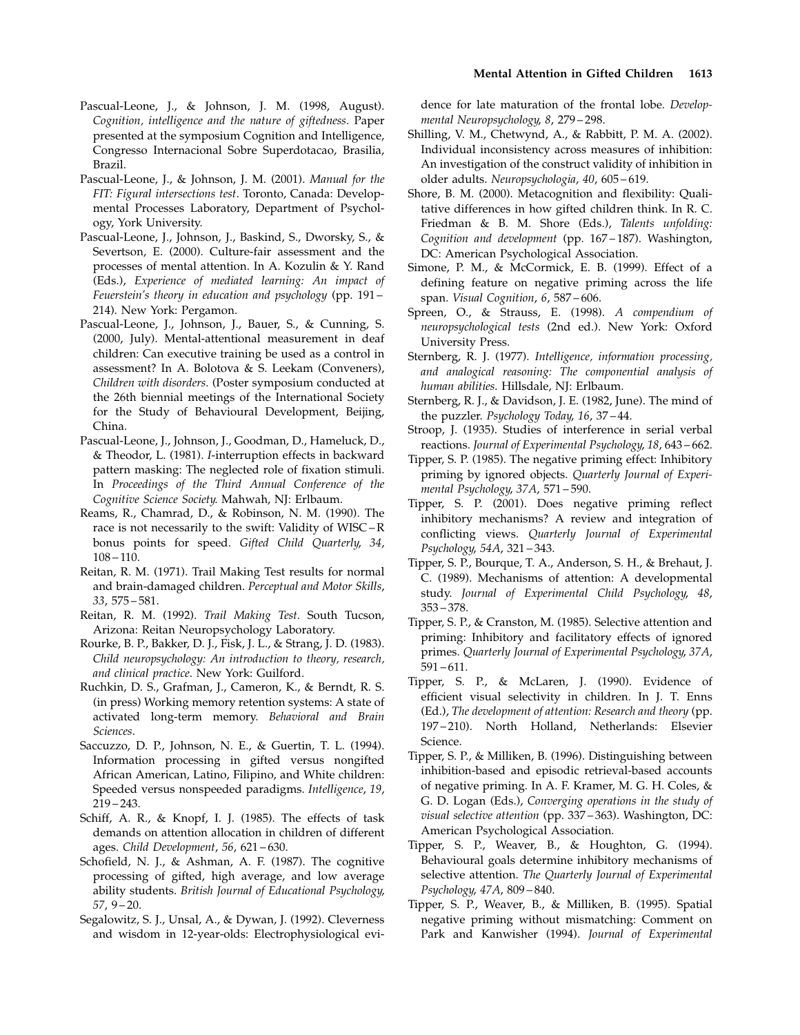- Pascual-Leone, J., & Johnson, J. M. (1998, August). Cognition, intelligence and the nature of giftedness. Paper presented at the symposium Cognition and Intelligence, Congresso Internacional Sobre Superdotacao, Brasilia, Brazil.
- Pascual-Leone, J., & Johnson, J. M. (2001). Manual for the FIT: Figural intersections test. Toronto, Canada: Developmental Processes Laboratory, Department of Psychology, York University.
- Pascual-Leone, J., Johnson, J., Baskind, S., Dworsky, S., & Severtson, E. (2000). Culture-fair assessment and the processes of mental attention. In A. Kozulin & Y. Rand (Eds.), Experience of mediated learning: An impact of Feuerstein's theory in education and psychology (pp. 191 – 214). New York: Pergamon.
- Pascual-Leone, J., Johnson, J., Bauer, S., & Cunning, S. (2000, July). Mental-attentional measurement in deaf children: Can executive training be used as a control in assessment? In A. Bolotova & S. Leekam (Conveners), Children with disorders. (Poster symposium conducted at the 26th biennial meetings of the International Society for the Study of Behavioural Development, Beijing, China.
- Pascual-Leone, J., Johnson, J., Goodman, D., Hameluck, D., & Theodor, L. (1981). I-interruption effects in backward pattern masking: The neglected role of fixation stimuli. In Proceedings of the Third Annual Conference of the Cognitive Science Society. Mahwah, NJ: Erlbaum.
- Reams, R., Chamrad, D., & Robinson, N. M. (1990). The race is not necessarily to the swift: Validity of WISC – R bonus points for speed. Gifted Child Quarterly, 34, 108 – 110.
- Reitan, R. M. (1971). Trail Making Test results for normal and brain-damaged children. Perceptual and Motor Skills, 33, 575 – 581.
- Reitan, R. M. (1992). Trail Making Test. South Tucson, Arizona: Reitan Neuropsychology Laboratory.
- Rourke, B. P., Bakker, D. J., Fisk, J. L., & Strang, J. D. (1983). Child neuropsychology: An introduction to theory, research, and clinical practice. New York: Guilford.
- Ruchkin, D. S., Grafman, J., Cameron, K., & Berndt, R. S. (in press) Working memory retention systems: A state of activated long-term memory. Behavioral and Brain Sciences.
- Saccuzzo, D. P., Johnson, N. E., & Guertin, T. L. (1994). Information processing in gifted versus nongifted African American, Latino, Filipino, and White children: Speeded versus nonspeeded paradigms. Intelligence, 19,  $219 - 243.$
- Schiff, A. R., & Knopf, I. J. (1985). The effects of task demands on attention allocation in children of different ages. Child Development, 56, 621 – 630.
- Schofield, N. J., & Ashman, A. F. (1987). The cognitive processing of gifted, high average, and low average ability students. British Journal of Educational Psychology,  $57, 9 - 20.$
- Segalowitz, S. J., Unsal, A., & Dywan, J. (1992). Cleverness and wisdom in 12-year-olds: Electrophysiological evi-

dence for late maturation of the frontal lobe. Developmental Neuropsychology, 8, 279 – 298.

- Shilling, V. M., Chetwynd, A., & Rabbitt, P. M. A. (2002). Individual inconsistency across measures of inhibition: An investigation of the construct validity of inhibition in older adults. Neuropsychologia, 40, 605 – 619.
- Shore, B. M. (2000). Metacognition and flexibility: Qualitative differences in how gifted children think. In R. C. Friedman & B. M. Shore (Eds.), Talents unfolding: Cognition and development (pp. 167 – 187). Washington, DC: American Psychological Association.
- Simone, P. M., & McCormick, E. B. (1999). Effect of a defining feature on negative priming across the life span. Visual Cognition, 6, 587-606.
- Spreen, O., & Strauss, E. (1998). A compendium of neuropsychological tests (2nd ed.). New York: Oxford University Press.
- Sternberg, R. J. (1977). Intelligence, information processing, and analogical reasoning: The componential analysis of human abilities. Hillsdale, NJ: Erlbaum.
- Sternberg, R. J., & Davidson, J. E. (1982, June). The mind of the puzzler. Psychology Today, 16, 37-44.
- Stroop, J. (1935). Studies of interference in serial verbal reactions. Journal of Experimental Psychology, 18, 643 – 662.
- Tipper, S. P. (1985). The negative priming effect: Inhibitory priming by ignored objects. Quarterly Journal of Experimental Psychology, 37A, 571 – 590.
- Tipper, S. P. (2001). Does negative priming reflect inhibitory mechanisms? A review and integration of conflicting views. Quarterly Journal of Experimental Psychology, 54A, 321 – 343.
- Tipper, S. P., Bourque, T. A., Anderson, S. H., & Brehaut, J. C. (1989). Mechanisms of attention: A developmental study. Journal of Experimental Child Psychology, 48, 353 – 378.
- Tipper, S. P., & Cranston, M. (1985). Selective attention and priming: Inhibitory and facilitatory effects of ignored primes. Quarterly Journal of Experimental Psychology, 37A,  $591 - 611.$
- Tipper, S. P., & McLaren, J. (1990). Evidence of efficient visual selectivity in children. In J. T. Enns (Ed.), The development of attention: Research and theory (pp. 197 – 210). North Holland, Netherlands: Elsevier Science.
- Tipper, S. P., & Milliken, B. (1996). Distinguishing between inhibition-based and episodic retrieval-based accounts of negative priming. In A. F. Kramer, M. G. H. Coles, & G. D. Logan (Eds.), Converging operations in the study of visual selective attention (pp. 337 – 363). Washington, DC: American Psychological Association.
- Tipper, S. P., Weaver, B., & Houghton, G. (1994). Behavioural goals determine inhibitory mechanisms of selective attention. The Quarterly Journal of Experimental Psychology, 47A, 809 – 840.
- Tipper, S. P., Weaver, B., & Milliken, B. (1995). Spatial negative priming without mismatching: Comment on Park and Kanwisher (1994). Journal of Experimental